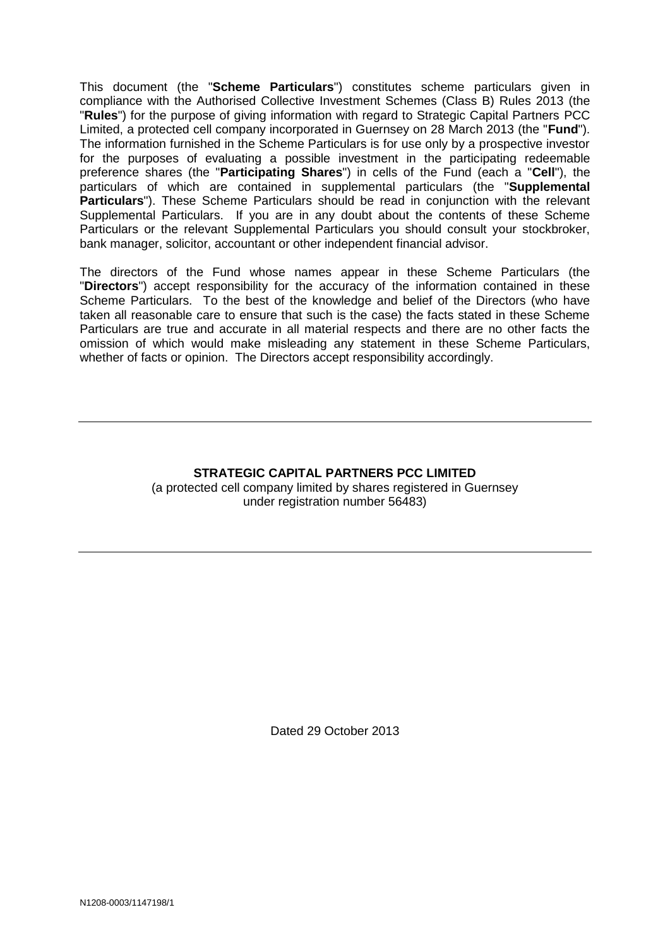This document (the "**Scheme Particulars**") constitutes scheme particulars given in compliance with the Authorised Collective Investment Schemes (Class B) Rules 2013 (the "**Rules**") for the purpose of giving information with regard to Strategic Capital Partners PCC Limited, a protected cell company incorporated in Guernsey on 28 March 2013 (the "**Fund**"). The information furnished in the Scheme Particulars is for use only by a prospective investor for the purposes of evaluating a possible investment in the participating redeemable preference shares (the "**Participating Shares**") in cells of the Fund (each a "**Cell**"), the particulars of which are contained in supplemental particulars (the "**Supplemental Particulars**"). These Scheme Particulars should be read in conjunction with the relevant Supplemental Particulars. If you are in any doubt about the contents of these Scheme Particulars or the relevant Supplemental Particulars you should consult your stockbroker, bank manager, solicitor, accountant or other independent financial advisor.

The directors of the Fund whose names appear in these Scheme Particulars (the "**Directors**") accept responsibility for the accuracy of the information contained in these Scheme Particulars. To the best of the knowledge and belief of the Directors (who have taken all reasonable care to ensure that such is the case) the facts stated in these Scheme Particulars are true and accurate in all material respects and there are no other facts the omission of which would make misleading any statement in these Scheme Particulars, whether of facts or opinion. The Directors accept responsibility accordingly.

# **STRATEGIC CAPITAL PARTNERS PCC LIMITED** (a protected cell company limited by shares registered in Guernsey under registration number 56483)

Dated 29 October 2013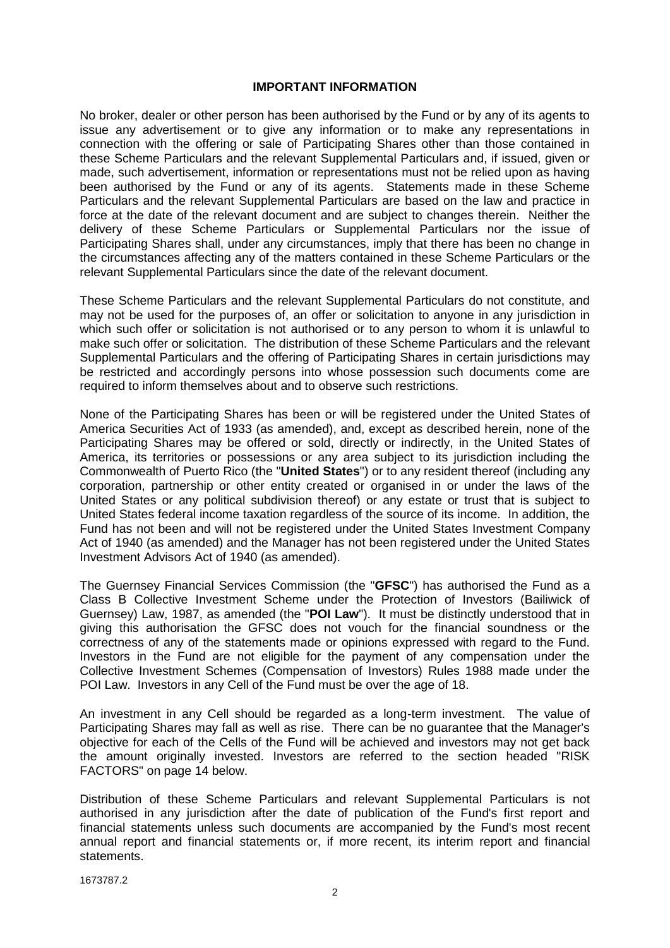#### **IMPORTANT INFORMATION**

No broker, dealer or other person has been authorised by the Fund or by any of its agents to issue any advertisement or to give any information or to make any representations in connection with the offering or sale of Participating Shares other than those contained in these Scheme Particulars and the relevant Supplemental Particulars and, if issued, given or made, such advertisement, information or representations must not be relied upon as having been authorised by the Fund or any of its agents. Statements made in these Scheme Particulars and the relevant Supplemental Particulars are based on the law and practice in force at the date of the relevant document and are subject to changes therein. Neither the delivery of these Scheme Particulars or Supplemental Particulars nor the issue of Participating Shares shall, under any circumstances, imply that there has been no change in the circumstances affecting any of the matters contained in these Scheme Particulars or the relevant Supplemental Particulars since the date of the relevant document.

These Scheme Particulars and the relevant Supplemental Particulars do not constitute, and may not be used for the purposes of, an offer or solicitation to anyone in any jurisdiction in which such offer or solicitation is not authorised or to any person to whom it is unlawful to make such offer or solicitation. The distribution of these Scheme Particulars and the relevant Supplemental Particulars and the offering of Participating Shares in certain jurisdictions may be restricted and accordingly persons into whose possession such documents come are required to inform themselves about and to observe such restrictions.

None of the Participating Shares has been or will be registered under the United States of America Securities Act of 1933 (as amended), and, except as described herein, none of the Participating Shares may be offered or sold, directly or indirectly, in the United States of America, its territories or possessions or any area subject to its jurisdiction including the Commonwealth of Puerto Rico (the "**United States**") or to any resident thereof (including any corporation, partnership or other entity created or organised in or under the laws of the United States or any political subdivision thereof) or any estate or trust that is subject to United States federal income taxation regardless of the source of its income. In addition, the Fund has not been and will not be registered under the United States Investment Company Act of 1940 (as amended) and the Manager has not been registered under the United States Investment Advisors Act of 1940 (as amended).

The Guernsey Financial Services Commission (the "**GFSC**") has authorised the Fund as a Class B Collective Investment Scheme under the Protection of Investors (Bailiwick of Guernsey) Law, 1987, as amended (the "**POI Law**"). It must be distinctly understood that in giving this authorisation the GFSC does not vouch for the financial soundness or the correctness of any of the statements made or opinions expressed with regard to the Fund. Investors in the Fund are not eligible for the payment of any compensation under the Collective Investment Schemes (Compensation of Investors) Rules 1988 made under the POI Law. Investors in any Cell of the Fund must be over the age of 18.

An investment in any Cell should be regarded as a long-term investment. The value of Participating Shares may fall as well as rise. There can be no guarantee that the Manager's objective for each of the Cells of the Fund will be achieved and investors may not get back the amount originally invested. Investors are referred to the section headed "RISK FACTORS" on page 14 below.

Distribution of these Scheme Particulars and relevant Supplemental Particulars is not authorised in any jurisdiction after the date of publication of the Fund's first report and financial statements unless such documents are accompanied by the Fund's most recent annual report and financial statements or, if more recent, its interim report and financial statements.

1673787.2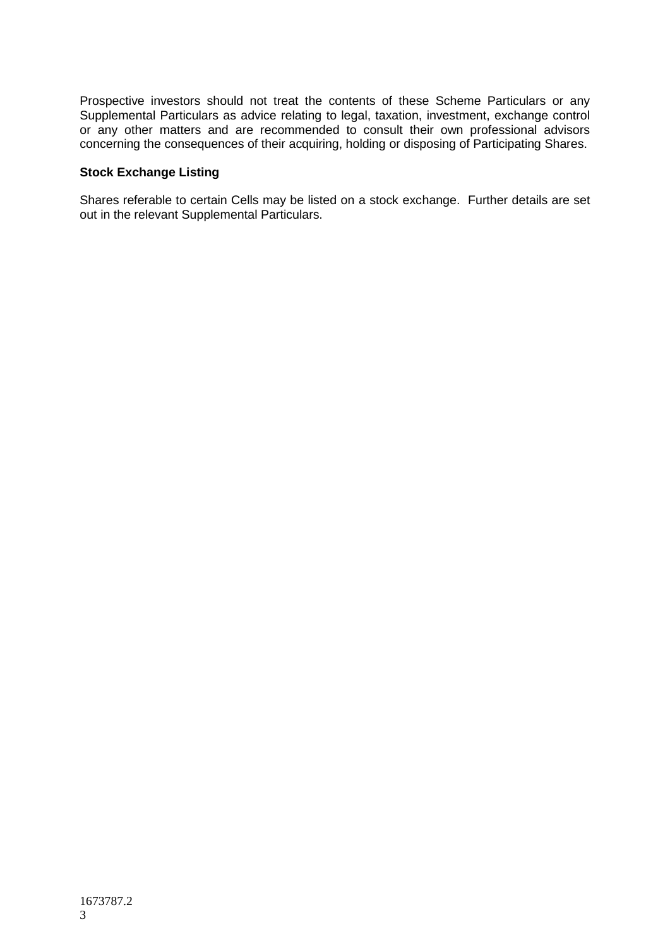Prospective investors should not treat the contents of these Scheme Particulars or any Supplemental Particulars as advice relating to legal, taxation, investment, exchange control or any other matters and are recommended to consult their own professional advisors concerning the consequences of their acquiring, holding or disposing of Participating Shares.

### **Stock Exchange Listing**

Shares referable to certain Cells may be listed on a stock exchange. Further details are set out in the relevant Supplemental Particulars.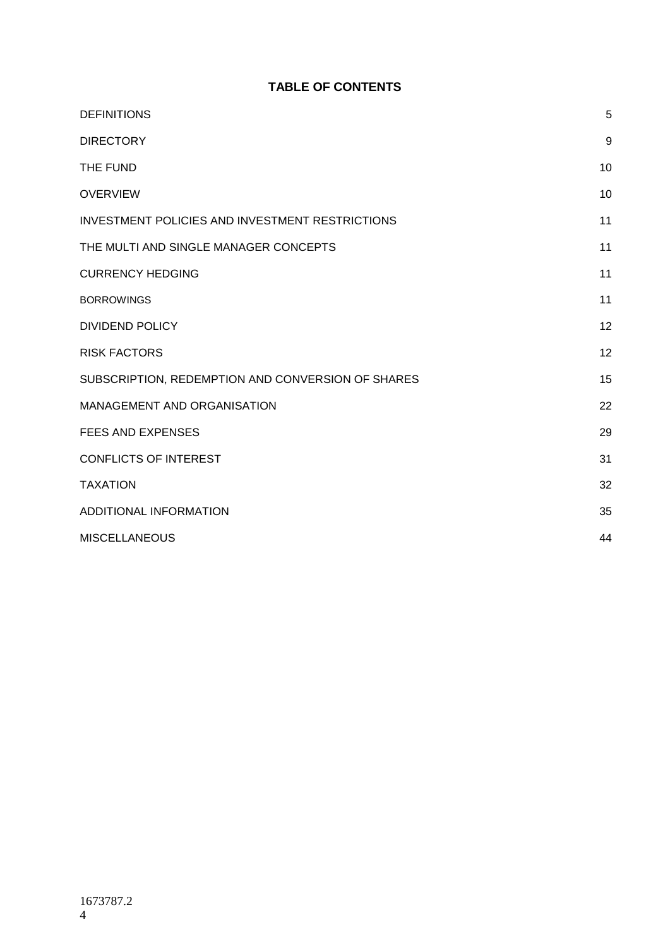# **TABLE OF CONTENTS**

| <b>DEFINITIONS</b>                                     | 5  |
|--------------------------------------------------------|----|
| <b>DIRECTORY</b>                                       | 9  |
| THE FUND                                               | 10 |
| <b>OVERVIEW</b>                                        | 10 |
| <b>INVESTMENT POLICIES AND INVESTMENT RESTRICTIONS</b> | 11 |
| THE MULTI AND SINGLE MANAGER CONCEPTS                  | 11 |
| <b>CURRENCY HEDGING</b>                                | 11 |
| <b>BORROWINGS</b>                                      | 11 |
| <b>DIVIDEND POLICY</b>                                 | 12 |
| <b>RISK FACTORS</b>                                    | 12 |
| SUBSCRIPTION, REDEMPTION AND CONVERSION OF SHARES      | 15 |
| MANAGEMENT AND ORGANISATION                            | 22 |
| <b>FEES AND EXPENSES</b>                               | 29 |
| <b>CONFLICTS OF INTEREST</b>                           | 31 |
| <b>TAXATION</b>                                        | 32 |
| ADDITIONAL INFORMATION                                 | 35 |
| <b>MISCELLANEOUS</b>                                   | 44 |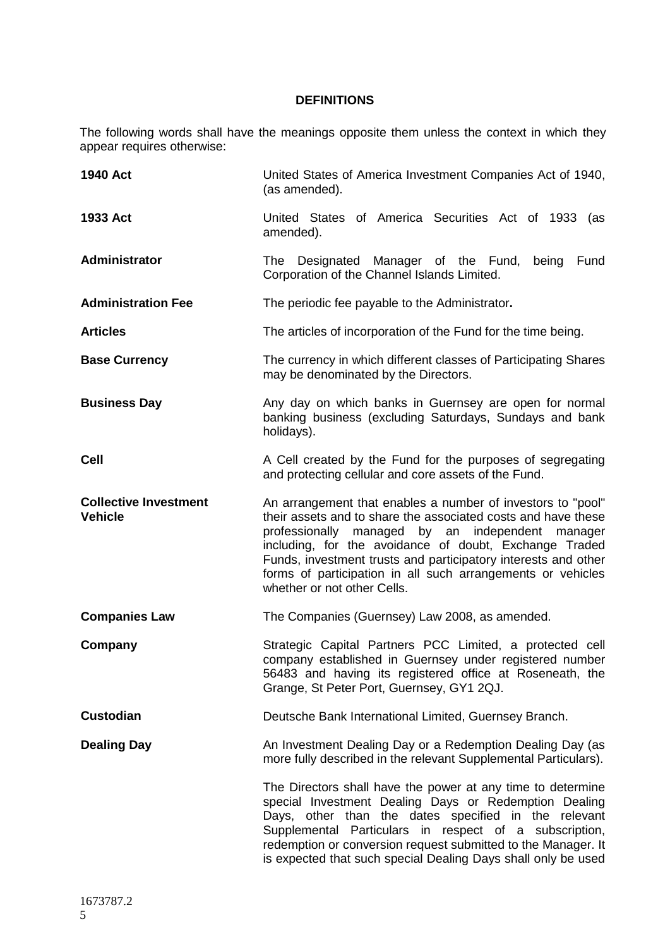# **DEFINITIONS**

<span id="page-4-0"></span>The following words shall have the meanings opposite them unless the context in which they appear requires otherwise:

| 1940 Act                                       | United States of America Investment Companies Act of 1940,<br>(as amended).                                                                                                                                                                                                                                                                                                                                |
|------------------------------------------------|------------------------------------------------------------------------------------------------------------------------------------------------------------------------------------------------------------------------------------------------------------------------------------------------------------------------------------------------------------------------------------------------------------|
| 1933 Act                                       | United States of America Securities Act of 1933 (as<br>amended).                                                                                                                                                                                                                                                                                                                                           |
| Administrator                                  | The Designated Manager of the Fund, being Fund<br>Corporation of the Channel Islands Limited.                                                                                                                                                                                                                                                                                                              |
| <b>Administration Fee</b>                      | The periodic fee payable to the Administrator.                                                                                                                                                                                                                                                                                                                                                             |
| <b>Articles</b>                                | The articles of incorporation of the Fund for the time being.                                                                                                                                                                                                                                                                                                                                              |
| <b>Base Currency</b>                           | The currency in which different classes of Participating Shares<br>may be denominated by the Directors.                                                                                                                                                                                                                                                                                                    |
| <b>Business Day</b>                            | Any day on which banks in Guernsey are open for normal<br>banking business (excluding Saturdays, Sundays and bank<br>holidays).                                                                                                                                                                                                                                                                            |
| <b>Cell</b>                                    | A Cell created by the Fund for the purposes of segregating<br>and protecting cellular and core assets of the Fund.                                                                                                                                                                                                                                                                                         |
| <b>Collective Investment</b><br><b>Vehicle</b> | An arrangement that enables a number of investors to "pool"<br>their assets and to share the associated costs and have these<br>professionally managed by an independent manager<br>including, for the avoidance of doubt, Exchange Traded<br>Funds, investment trusts and participatory interests and other<br>forms of participation in all such arrangements or vehicles<br>whether or not other Cells. |
| <b>Companies Law</b>                           | The Companies (Guernsey) Law 2008, as amended.                                                                                                                                                                                                                                                                                                                                                             |
| Company                                        | Strategic Capital Partners PCC Limited, a protected cell<br>company established in Guernsey under registered number<br>56483 and having its registered office at Roseneath, the<br>Grange, St Peter Port, Guernsey, GY1 2QJ.                                                                                                                                                                               |
| <b>Custodian</b>                               | Deutsche Bank International Limited, Guernsey Branch.                                                                                                                                                                                                                                                                                                                                                      |
| <b>Dealing Day</b>                             | An Investment Dealing Day or a Redemption Dealing Day (as<br>more fully described in the relevant Supplemental Particulars).                                                                                                                                                                                                                                                                               |
|                                                | The Directors shall have the power at any time to determine<br>special Investment Dealing Days or Redemption Dealing<br>Days, other than the dates specified in the relevant<br>Supplemental Particulars in respect of a subscription,<br>redemption or conversion request submitted to the Manager. It<br>is expected that such special Dealing Days shall only be used                                   |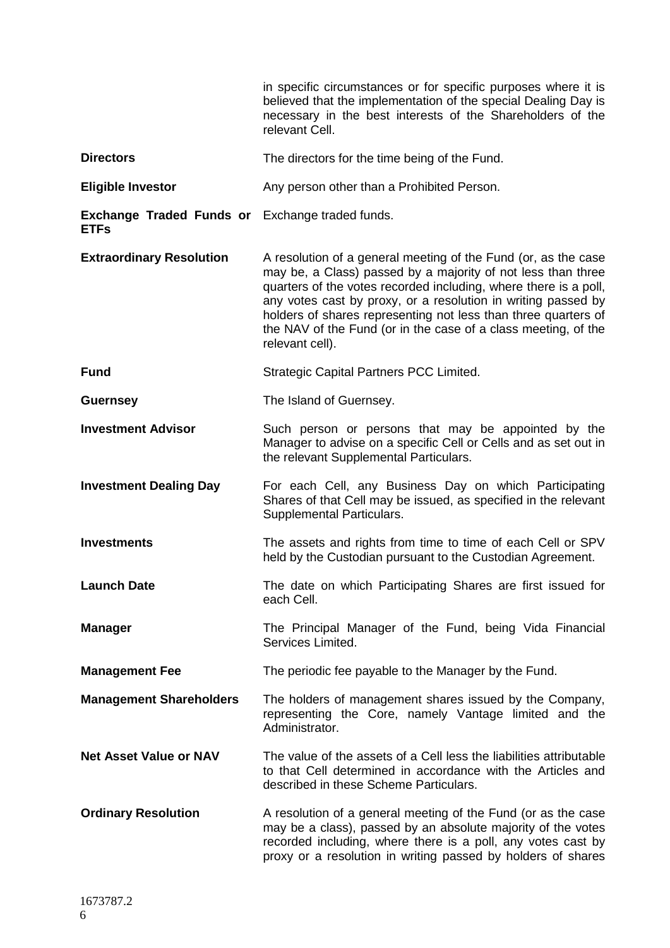|                                                                       | in specific circumstances or for specific purposes where it is<br>believed that the implementation of the special Dealing Day is<br>necessary in the best interests of the Shareholders of the<br>relevant Cell.                                                                                                                                                                                                           |
|-----------------------------------------------------------------------|----------------------------------------------------------------------------------------------------------------------------------------------------------------------------------------------------------------------------------------------------------------------------------------------------------------------------------------------------------------------------------------------------------------------------|
| <b>Directors</b>                                                      | The directors for the time being of the Fund.                                                                                                                                                                                                                                                                                                                                                                              |
| <b>Eligible Investor</b>                                              | Any person other than a Prohibited Person.                                                                                                                                                                                                                                                                                                                                                                                 |
| <b>Exchange Traded Funds or</b> Exchange traded funds.<br><b>ETFs</b> |                                                                                                                                                                                                                                                                                                                                                                                                                            |
| <b>Extraordinary Resolution</b>                                       | A resolution of a general meeting of the Fund (or, as the case<br>may be, a Class) passed by a majority of not less than three<br>quarters of the votes recorded including, where there is a poll,<br>any votes cast by proxy, or a resolution in writing passed by<br>holders of shares representing not less than three quarters of<br>the NAV of the Fund (or in the case of a class meeting, of the<br>relevant cell). |
| <b>Fund</b>                                                           | Strategic Capital Partners PCC Limited.                                                                                                                                                                                                                                                                                                                                                                                    |
| <b>Guernsey</b>                                                       | The Island of Guernsey.                                                                                                                                                                                                                                                                                                                                                                                                    |
| <b>Investment Advisor</b>                                             | Such person or persons that may be appointed by the<br>Manager to advise on a specific Cell or Cells and as set out in<br>the relevant Supplemental Particulars.                                                                                                                                                                                                                                                           |
| <b>Investment Dealing Day</b>                                         | For each Cell, any Business Day on which Participating<br>Shares of that Cell may be issued, as specified in the relevant<br>Supplemental Particulars.                                                                                                                                                                                                                                                                     |
| <b>Investments</b>                                                    | The assets and rights from time to time of each Cell or SPV<br>held by the Custodian pursuant to the Custodian Agreement.                                                                                                                                                                                                                                                                                                  |
| <b>Launch Date</b>                                                    | The date on which Participating Shares are first issued for<br>each Cell.                                                                                                                                                                                                                                                                                                                                                  |
| <b>Manager</b>                                                        | The Principal Manager of the Fund, being Vida Financial<br>Services Limited.                                                                                                                                                                                                                                                                                                                                               |
| <b>Management Fee</b>                                                 | The periodic fee payable to the Manager by the Fund.                                                                                                                                                                                                                                                                                                                                                                       |
| <b>Management Shareholders</b>                                        | The holders of management shares issued by the Company,<br>representing the Core, namely Vantage limited and the<br>Administrator.                                                                                                                                                                                                                                                                                         |
| <b>Net Asset Value or NAV</b>                                         | The value of the assets of a Cell less the liabilities attributable<br>to that Cell determined in accordance with the Articles and<br>described in these Scheme Particulars.                                                                                                                                                                                                                                               |
| <b>Ordinary Resolution</b>                                            | A resolution of a general meeting of the Fund (or as the case<br>may be a class), passed by an absolute majority of the votes<br>recorded including, where there is a poll, any votes cast by<br>proxy or a resolution in writing passed by holders of shares                                                                                                                                                              |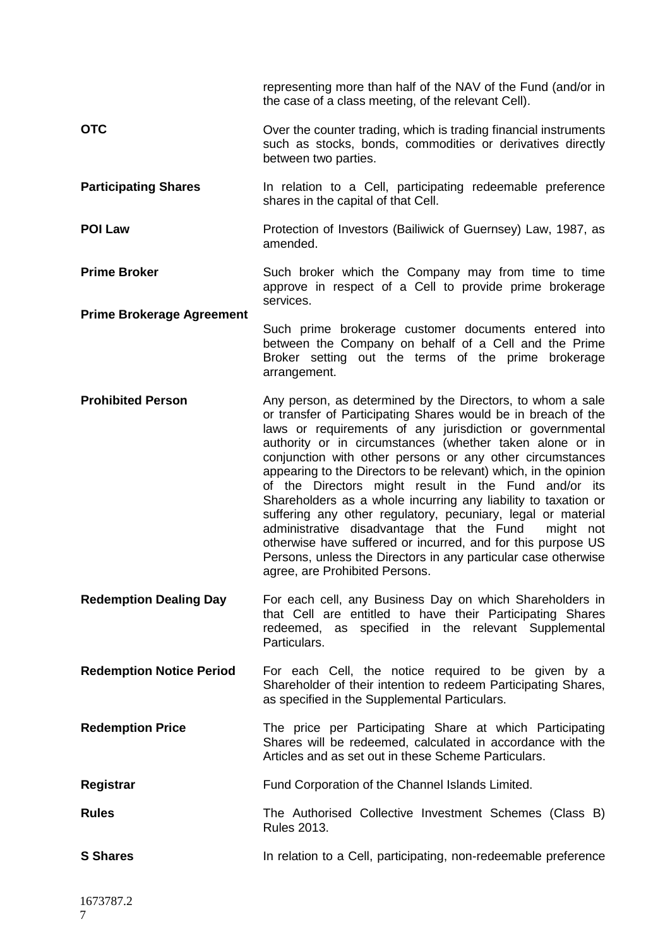|                                  | representing more than half of the NAV of the Fund (and/or in<br>the case of a class meeting, of the relevant Cell).                                                                                                                                                                                                                                                                                                                                                                                                                                                                                                                                                                                                                                                                                         |
|----------------------------------|--------------------------------------------------------------------------------------------------------------------------------------------------------------------------------------------------------------------------------------------------------------------------------------------------------------------------------------------------------------------------------------------------------------------------------------------------------------------------------------------------------------------------------------------------------------------------------------------------------------------------------------------------------------------------------------------------------------------------------------------------------------------------------------------------------------|
| <b>OTC</b>                       | Over the counter trading, which is trading financial instruments<br>such as stocks, bonds, commodities or derivatives directly<br>between two parties.                                                                                                                                                                                                                                                                                                                                                                                                                                                                                                                                                                                                                                                       |
| <b>Participating Shares</b>      | In relation to a Cell, participating redeemable preference<br>shares in the capital of that Cell.                                                                                                                                                                                                                                                                                                                                                                                                                                                                                                                                                                                                                                                                                                            |
| <b>POI Law</b>                   | Protection of Investors (Bailiwick of Guernsey) Law, 1987, as<br>amended.                                                                                                                                                                                                                                                                                                                                                                                                                                                                                                                                                                                                                                                                                                                                    |
| <b>Prime Broker</b>              | Such broker which the Company may from time to time<br>approve in respect of a Cell to provide prime brokerage<br>services.                                                                                                                                                                                                                                                                                                                                                                                                                                                                                                                                                                                                                                                                                  |
| <b>Prime Brokerage Agreement</b> | Such prime brokerage customer documents entered into<br>between the Company on behalf of a Cell and the Prime<br>Broker setting out the terms of the prime brokerage<br>arrangement.                                                                                                                                                                                                                                                                                                                                                                                                                                                                                                                                                                                                                         |
| <b>Prohibited Person</b>         | Any person, as determined by the Directors, to whom a sale<br>or transfer of Participating Shares would be in breach of the<br>laws or requirements of any jurisdiction or governmental<br>authority or in circumstances (whether taken alone or in<br>conjunction with other persons or any other circumstances<br>appearing to the Directors to be relevant) which, in the opinion<br>of the Directors might result in the Fund and/or its<br>Shareholders as a whole incurring any liability to taxation or<br>suffering any other regulatory, pecuniary, legal or material<br>administrative disadvantage that the Fund<br>might not<br>otherwise have suffered or incurred, and for this purpose US<br>Persons, unless the Directors in any particular case otherwise<br>agree, are Prohibited Persons. |
| <b>Redemption Dealing Day</b>    | For each cell, any Business Day on which Shareholders in<br>that Cell are entitled to have their Participating Shares<br>redeemed, as specified in the relevant Supplemental<br>Particulars.                                                                                                                                                                                                                                                                                                                                                                                                                                                                                                                                                                                                                 |
| <b>Redemption Notice Period</b>  | For each Cell, the notice required to be given by a<br>Shareholder of their intention to redeem Participating Shares,<br>as specified in the Supplemental Particulars.                                                                                                                                                                                                                                                                                                                                                                                                                                                                                                                                                                                                                                       |
| <b>Redemption Price</b>          | The price per Participating Share at which Participating<br>Shares will be redeemed, calculated in accordance with the<br>Articles and as set out in these Scheme Particulars.                                                                                                                                                                                                                                                                                                                                                                                                                                                                                                                                                                                                                               |
| Registrar                        | Fund Corporation of the Channel Islands Limited.                                                                                                                                                                                                                                                                                                                                                                                                                                                                                                                                                                                                                                                                                                                                                             |
| <b>Rules</b>                     | The Authorised Collective Investment Schemes (Class B)<br><b>Rules 2013.</b>                                                                                                                                                                                                                                                                                                                                                                                                                                                                                                                                                                                                                                                                                                                                 |
| <b>S</b> Shares                  | In relation to a Cell, participating, non-redeemable preference                                                                                                                                                                                                                                                                                                                                                                                                                                                                                                                                                                                                                                                                                                                                              |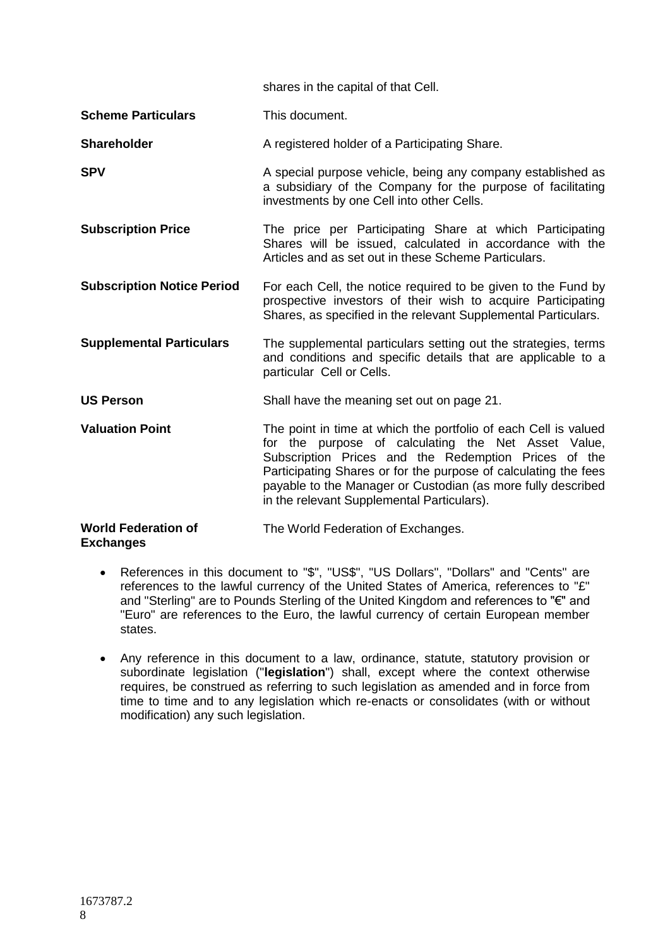|                                                | shares in the capital of that Cell.                                                                                                                                                                                                                                                                                                                             |
|------------------------------------------------|-----------------------------------------------------------------------------------------------------------------------------------------------------------------------------------------------------------------------------------------------------------------------------------------------------------------------------------------------------------------|
| <b>Scheme Particulars</b>                      | This document.                                                                                                                                                                                                                                                                                                                                                  |
| <b>Shareholder</b>                             | A registered holder of a Participating Share.                                                                                                                                                                                                                                                                                                                   |
| <b>SPV</b>                                     | A special purpose vehicle, being any company established as<br>a subsidiary of the Company for the purpose of facilitating<br>investments by one Cell into other Cells.                                                                                                                                                                                         |
| <b>Subscription Price</b>                      | The price per Participating Share at which Participating<br>Shares will be issued, calculated in accordance with the<br>Articles and as set out in these Scheme Particulars.                                                                                                                                                                                    |
| <b>Subscription Notice Period</b>              | For each Cell, the notice required to be given to the Fund by<br>prospective investors of their wish to acquire Participating<br>Shares, as specified in the relevant Supplemental Particulars.                                                                                                                                                                 |
| <b>Supplemental Particulars</b>                | The supplemental particulars setting out the strategies, terms<br>and conditions and specific details that are applicable to a<br>particular Cell or Cells.                                                                                                                                                                                                     |
| <b>US Person</b>                               | Shall have the meaning set out on page 21.                                                                                                                                                                                                                                                                                                                      |
| <b>Valuation Point</b>                         | The point in time at which the portfolio of each Cell is valued<br>for the purpose of calculating the Net Asset Value,<br>Subscription Prices and the Redemption Prices of the<br>Participating Shares or for the purpose of calculating the fees<br>payable to the Manager or Custodian (as more fully described<br>in the relevant Supplemental Particulars). |
| <b>World Federation of</b><br><b>Exchanges</b> | The World Federation of Exchanges.                                                                                                                                                                                                                                                                                                                              |

- References in this document to "\$", "US\$", "US Dollars", "Dollars" and "Cents" are references to the lawful currency of the United States of America, references to "£" and "Sterling" are to Pounds Sterling of the United Kingdom and references to "€" and "Euro" are references to the Euro, the lawful currency of certain European member states.
- Any reference in this document to a law, ordinance, statute, statutory provision or subordinate legislation ("**legislation**") shall, except where the context otherwise requires, be construed as referring to such legislation as amended and in force from time to time and to any legislation which re-enacts or consolidates (with or without modification) any such legislation.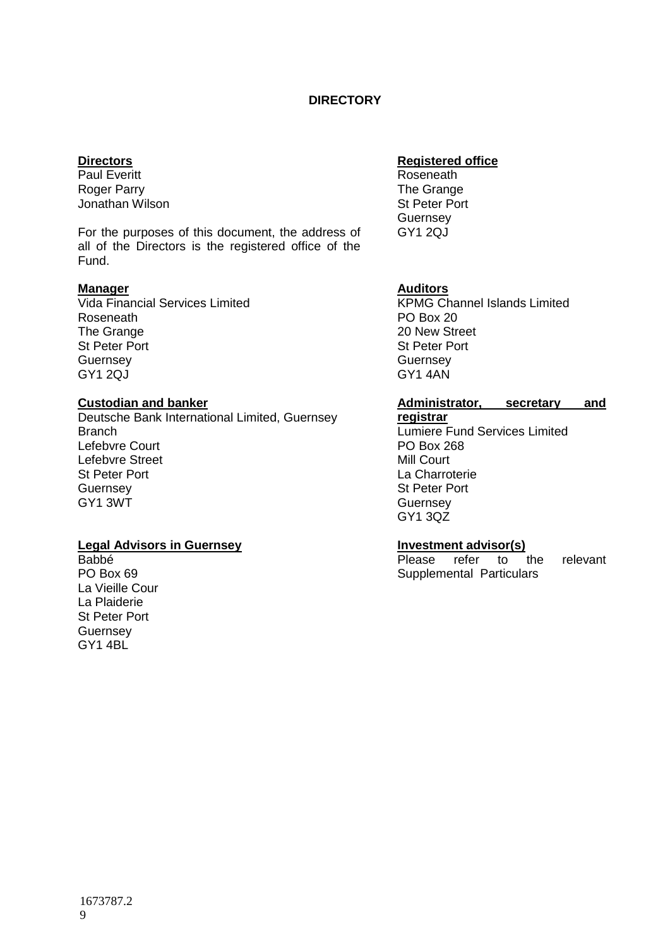# **DIRECTORY**

### <span id="page-8-0"></span>**Directors**

Paul Everitt Roger Parry Jonathan Wilson

For the purposes of this document, the address of all of the Directors is the registered office of the Fund.

### **Manager**

Vida Financial Services Limited Roseneath The Grange St Peter Port **Guernsey** GY1 2QJ

### **Custodian and banker**

Deutsche Bank International Limited, Guernsey **Branch** Lefebvre Court Lefebvre Street St Peter Port **Guernsey** GY1 3WT

#### **Legal Advisors in Guernsey**

Babbé PO Box 69 La Vieille Cour La Plaiderie St Peter Port **Guernsey** GY1 4BL

# **Registered office**

Roseneath The Grange St Peter Port **Guernsey** GY1 2QJ

# **Auditors**

KPMG Channel Islands Limited PO Box 20 20 New Street St Peter Port **Guernsey** GY1 4AN

# **Administrator, secretary and**

**registrar** Lumiere Fund Services Limited PO Box 268 Mill Court La Charroterie St Peter Port **Guernsey** GY1 3QZ

#### **Investment advisor(s)**

Please refer to the relevant Supplemental Particulars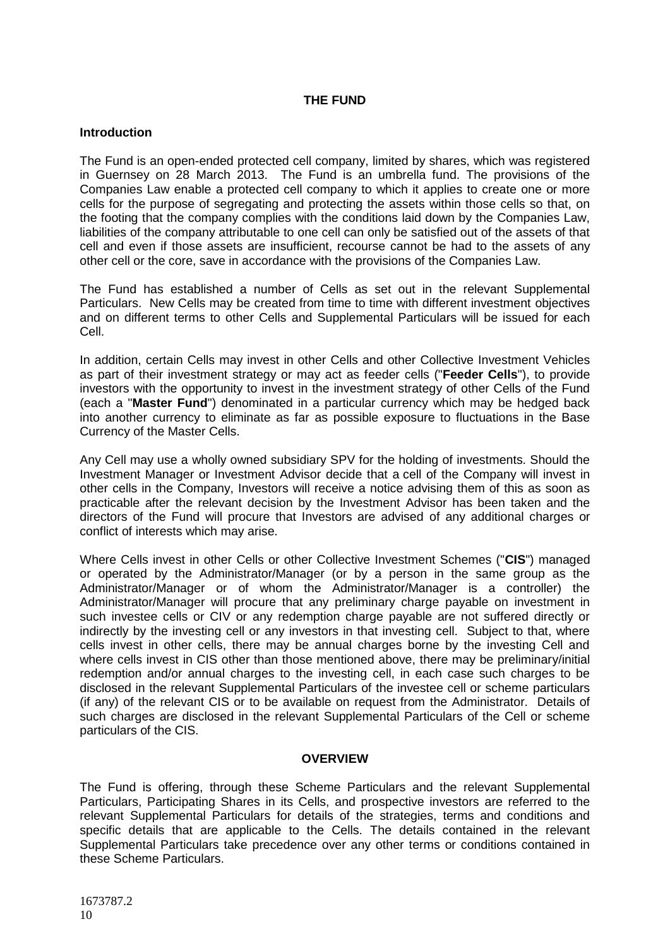# **THE FUND**

#### <span id="page-9-0"></span>**Introduction**

The Fund is an open-ended protected cell company, limited by shares, which was registered in Guernsey on 28 March 2013. The Fund is an umbrella fund. The provisions of the Companies Law enable a protected cell company to which it applies to create one or more cells for the purpose of segregating and protecting the assets within those cells so that, on the footing that the company complies with the conditions laid down by the Companies Law, liabilities of the company attributable to one cell can only be satisfied out of the assets of that cell and even if those assets are insufficient, recourse cannot be had to the assets of any other cell or the core, save in accordance with the provisions of the Companies Law.

The Fund has established a number of Cells as set out in the relevant Supplemental Particulars. New Cells may be created from time to time with different investment objectives and on different terms to other Cells and Supplemental Particulars will be issued for each Cell.

In addition, certain Cells may invest in other Cells and other Collective Investment Vehicles as part of their investment strategy or may act as feeder cells ("**Feeder Cells**"), to provide investors with the opportunity to invest in the investment strategy of other Cells of the Fund (each a "**Master Fund**") denominated in a particular currency which may be hedged back into another currency to eliminate as far as possible exposure to fluctuations in the Base Currency of the Master Cells.

Any Cell may use a wholly owned subsidiary SPV for the holding of investments. Should the Investment Manager or Investment Advisor decide that a cell of the Company will invest in other cells in the Company, Investors will receive a notice advising them of this as soon as practicable after the relevant decision by the Investment Advisor has been taken and the directors of the Fund will procure that Investors are advised of any additional charges or conflict of interests which may arise.

Where Cells invest in other Cells or other Collective Investment Schemes ("**CIS**") managed or operated by the Administrator/Manager (or by a person in the same group as the Administrator/Manager or of whom the Administrator/Manager is a controller) the Administrator/Manager will procure that any preliminary charge payable on investment in such investee cells or CIV or any redemption charge payable are not suffered directly or indirectly by the investing cell or any investors in that investing cell. Subject to that, where cells invest in other cells, there may be annual charges borne by the investing Cell and where cells invest in CIS other than those mentioned above, there may be preliminary/initial redemption and/or annual charges to the investing cell, in each case such charges to be disclosed in the relevant Supplemental Particulars of the investee cell or scheme particulars (if any) of the relevant CIS or to be available on request from the Administrator. Details of such charges are disclosed in the relevant Supplemental Particulars of the Cell or scheme particulars of the CIS.

#### **OVERVIEW**

<span id="page-9-1"></span>The Fund is offering, through these Scheme Particulars and the relevant Supplemental Particulars, Participating Shares in its Cells, and prospective investors are referred to the relevant Supplemental Particulars for details of the strategies, terms and conditions and specific details that are applicable to the Cells. The details contained in the relevant Supplemental Particulars take precedence over any other terms or conditions contained in these Scheme Particulars.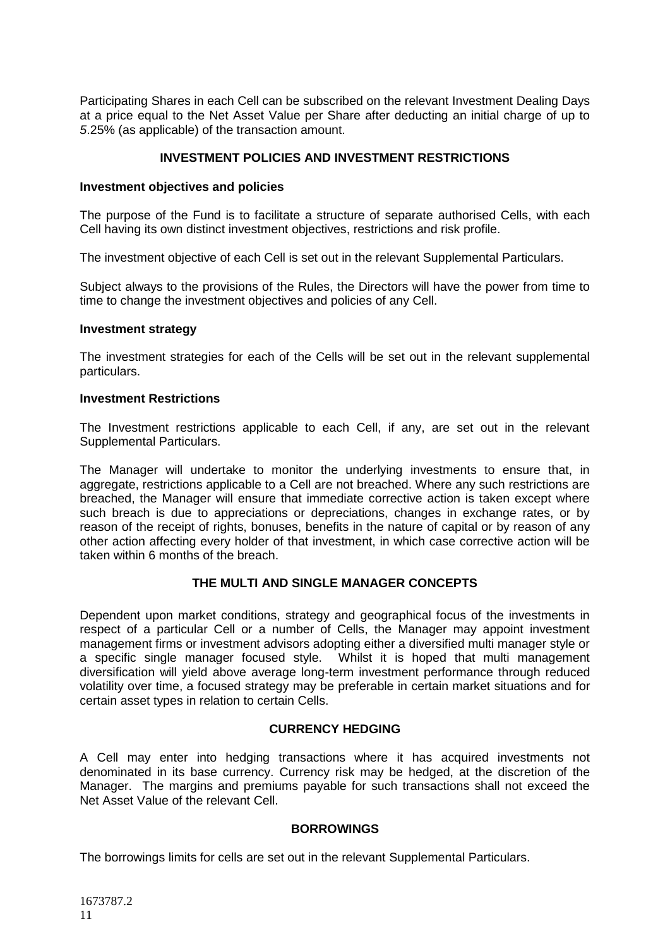Participating Shares in each Cell can be subscribed on the relevant Investment Dealing Days at a price equal to the Net Asset Value per Share after deducting an initial charge of up to *5*.25% (as applicable) of the transaction amount.

# **INVESTMENT POLICIES AND INVESTMENT RESTRICTIONS**

### <span id="page-10-0"></span>**Investment objectives and policies**

The purpose of the Fund is to facilitate a structure of separate authorised Cells, with each Cell having its own distinct investment objectives, restrictions and risk profile.

The investment objective of each Cell is set out in the relevant Supplemental Particulars.

Subject always to the provisions of the Rules, the Directors will have the power from time to time to change the investment objectives and policies of any Cell.

#### **Investment strategy**

The investment strategies for each of the Cells will be set out in the relevant supplemental particulars.

#### **Investment Restrictions**

The Investment restrictions applicable to each Cell, if any, are set out in the relevant Supplemental Particulars.

The Manager will undertake to monitor the underlying investments to ensure that, in aggregate, restrictions applicable to a Cell are not breached. Where any such restrictions are breached, the Manager will ensure that immediate corrective action is taken except where such breach is due to appreciations or depreciations, changes in exchange rates, or by reason of the receipt of rights, bonuses, benefits in the nature of capital or by reason of any other action affecting every holder of that investment, in which case corrective action will be taken within 6 months of the breach.

# **THE MULTI AND SINGLE MANAGER CONCEPTS**

<span id="page-10-1"></span>Dependent upon market conditions, strategy and geographical focus of the investments in respect of a particular Cell or a number of Cells, the Manager may appoint investment management firms or investment advisors adopting either a diversified multi manager style or a specific single manager focused style. Whilst it is hoped that multi management diversification will yield above average long-term investment performance through reduced volatility over time, a focused strategy may be preferable in certain market situations and for certain asset types in relation to certain Cells.

# **CURRENCY HEDGING**

<span id="page-10-2"></span>A Cell may enter into hedging transactions where it has acquired investments not denominated in its base currency. Currency risk may be hedged, at the discretion of the Manager. The margins and premiums payable for such transactions shall not exceed the Net Asset Value of the relevant Cell.

# **BORROWINGS**

<span id="page-10-3"></span>The borrowings limits for cells are set out in the relevant Supplemental Particulars.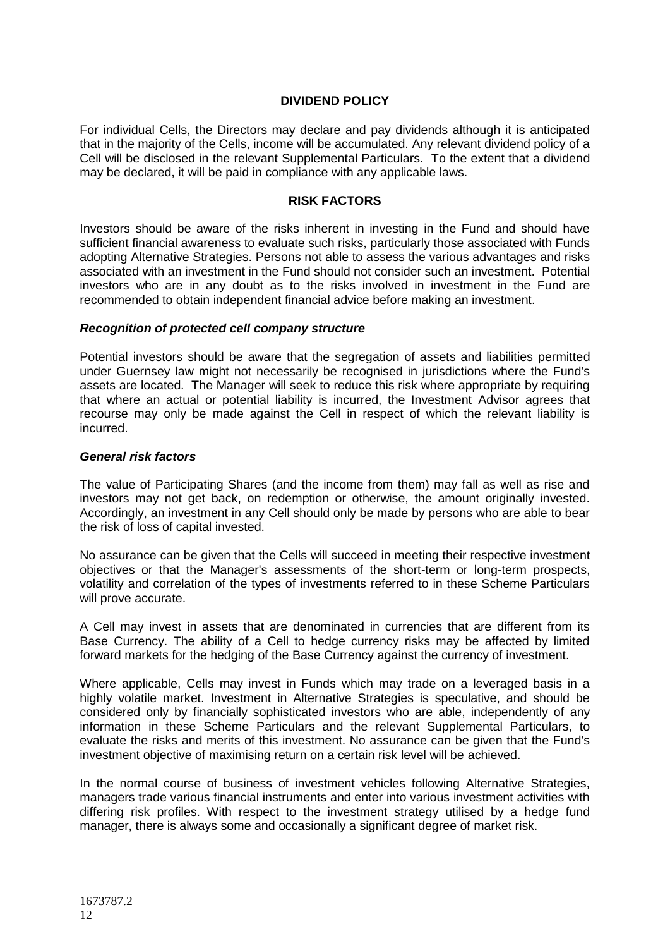# **DIVIDEND POLICY**

<span id="page-11-0"></span>For individual Cells, the Directors may declare and pay dividends although it is anticipated that in the majority of the Cells, income will be accumulated. Any relevant dividend policy of a Cell will be disclosed in the relevant Supplemental Particulars. To the extent that a dividend may be declared, it will be paid in compliance with any applicable laws.

#### **RISK FACTORS**

<span id="page-11-1"></span>Investors should be aware of the risks inherent in investing in the Fund and should have sufficient financial awareness to evaluate such risks, particularly those associated with Funds adopting Alternative Strategies. Persons not able to assess the various advantages and risks associated with an investment in the Fund should not consider such an investment. Potential investors who are in any doubt as to the risks involved in investment in the Fund are recommended to obtain independent financial advice before making an investment.

#### *Recognition of protected cell company structure*

Potential investors should be aware that the segregation of assets and liabilities permitted under Guernsey law might not necessarily be recognised in jurisdictions where the Fund's assets are located. The Manager will seek to reduce this risk where appropriate by requiring that where an actual or potential liability is incurred, the Investment Advisor agrees that recourse may only be made against the Cell in respect of which the relevant liability is incurred.

#### *General risk factors*

The value of Participating Shares (and the income from them) may fall as well as rise and investors may not get back, on redemption or otherwise, the amount originally invested. Accordingly, an investment in any Cell should only be made by persons who are able to bear the risk of loss of capital invested.

No assurance can be given that the Cells will succeed in meeting their respective investment objectives or that the Manager's assessments of the short-term or long-term prospects, volatility and correlation of the types of investments referred to in these Scheme Particulars will prove accurate.

A Cell may invest in assets that are denominated in currencies that are different from its Base Currency. The ability of a Cell to hedge currency risks may be affected by limited forward markets for the hedging of the Base Currency against the currency of investment.

Where applicable, Cells may invest in Funds which may trade on a leveraged basis in a highly volatile market. Investment in Alternative Strategies is speculative, and should be considered only by financially sophisticated investors who are able, independently of any information in these Scheme Particulars and the relevant Supplemental Particulars, to evaluate the risks and merits of this investment. No assurance can be given that the Fund's investment objective of maximising return on a certain risk level will be achieved.

In the normal course of business of investment vehicles following Alternative Strategies, managers trade various financial instruments and enter into various investment activities with differing risk profiles. With respect to the investment strategy utilised by a hedge fund manager, there is always some and occasionally a significant degree of market risk.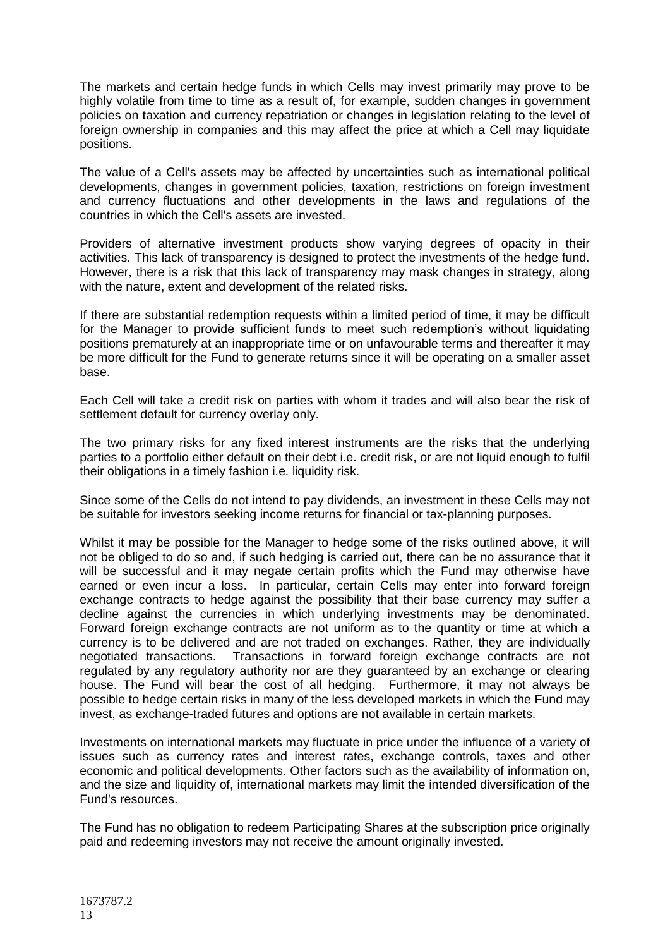The markets and certain hedge funds in which Cells may invest primarily may prove to be highly volatile from time to time as a result of, for example, sudden changes in government policies on taxation and currency repatriation or changes in legislation relating to the level of foreign ownership in companies and this may affect the price at which a Cell may liquidate positions.

The value of a Cell's assets may be affected by uncertainties such as international political developments, changes in government policies, taxation, restrictions on foreign investment and currency fluctuations and other developments in the laws and regulations of the countries in which the Cell's assets are invested.

Providers of alternative investment products show varying degrees of opacity in their activities. This lack of transparency is designed to protect the investments of the hedge fund. However, there is a risk that this lack of transparency may mask changes in strategy, along with the nature, extent and development of the related risks.

If there are substantial redemption requests within a limited period of time, it may be difficult for the Manager to provide sufficient funds to meet such redemption's without liquidating positions prematurely at an inappropriate time or on unfavourable terms and thereafter it may be more difficult for the Fund to generate returns since it will be operating on a smaller asset base.

Each Cell will take a credit risk on parties with whom it trades and will also bear the risk of settlement default for currency overlay only.

The two primary risks for any fixed interest instruments are the risks that the underlying parties to a portfolio either default on their debt i.e. credit risk, or are not liquid enough to fulfil their obligations in a timely fashion i.e. liquidity risk.

Since some of the Cells do not intend to pay dividends, an investment in these Cells may not be suitable for investors seeking income returns for financial or tax-planning purposes.

Whilst it may be possible for the Manager to hedge some of the risks outlined above, it will not be obliged to do so and, if such hedging is carried out, there can be no assurance that it will be successful and it may negate certain profits which the Fund may otherwise have earned or even incur a loss. In particular, certain Cells may enter into forward foreign exchange contracts to hedge against the possibility that their base currency may suffer a decline against the currencies in which underlying investments may be denominated. Forward foreign exchange contracts are not uniform as to the quantity or time at which a currency is to be delivered and are not traded on exchanges. Rather, they are individually negotiated transactions. Transactions in forward foreign exchange contracts are not regulated by any regulatory authority nor are they guaranteed by an exchange or clearing house. The Fund will bear the cost of all hedging. Furthermore, it may not always be possible to hedge certain risks in many of the less developed markets in which the Fund may invest, as exchange-traded futures and options are not available in certain markets.

Investments on international markets may fluctuate in price under the influence of a variety of issues such as currency rates and interest rates, exchange controls, taxes and other economic and political developments. Other factors such as the availability of information on, and the size and liquidity of, international markets may limit the intended diversification of the Fund's resources.

The Fund has no obligation to redeem Participating Shares at the subscription price originally paid and redeeming investors may not receive the amount originally invested.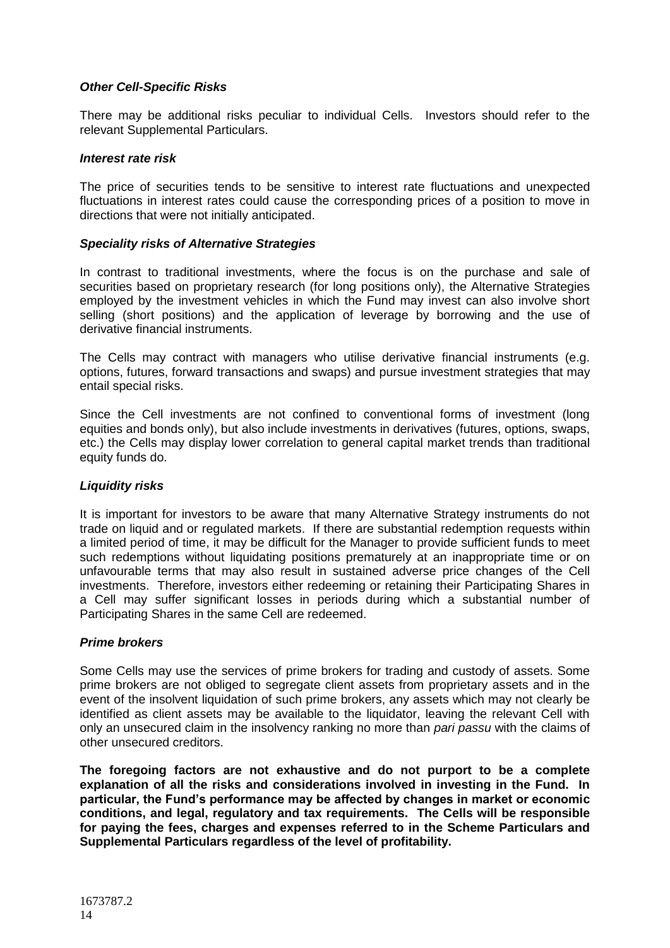# *Other Cell-Specific Risks*

There may be additional risks peculiar to individual Cells. Investors should refer to the relevant Supplemental Particulars.

### *Interest rate risk*

The price of securities tends to be sensitive to interest rate fluctuations and unexpected fluctuations in interest rates could cause the corresponding prices of a position to move in directions that were not initially anticipated.

### *Speciality risks of Alternative Strategies*

In contrast to traditional investments, where the focus is on the purchase and sale of securities based on proprietary research (for long positions only), the Alternative Strategies employed by the investment vehicles in which the Fund may invest can also involve short selling (short positions) and the application of leverage by borrowing and the use of derivative financial instruments.

The Cells may contract with managers who utilise derivative financial instruments (e.g. options, futures, forward transactions and swaps) and pursue investment strategies that may entail special risks.

Since the Cell investments are not confined to conventional forms of investment (long equities and bonds only), but also include investments in derivatives (futures, options, swaps, etc.) the Cells may display lower correlation to general capital market trends than traditional equity funds do.

# *Liquidity risks*

It is important for investors to be aware that many Alternative Strategy instruments do not trade on liquid and or regulated markets. If there are substantial redemption requests within a limited period of time, it may be difficult for the Manager to provide sufficient funds to meet such redemptions without liquidating positions prematurely at an inappropriate time or on unfavourable terms that may also result in sustained adverse price changes of the Cell investments. Therefore, investors either redeeming or retaining their Participating Shares in a Cell may suffer significant losses in periods during which a substantial number of Participating Shares in the same Cell are redeemed.

# *Prime brokers*

Some Cells may use the services of prime brokers for trading and custody of assets. Some prime brokers are not obliged to segregate client assets from proprietary assets and in the event of the insolvent liquidation of such prime brokers, any assets which may not clearly be identified as client assets may be available to the liquidator, leaving the relevant Cell with only an unsecured claim in the insolvency ranking no more than *pari passu* with the claims of other unsecured creditors.

**The foregoing factors are not exhaustive and do not purport to be a complete explanation of all the risks and considerations involved in investing in the Fund. In particular, the Fund's performance may be affected by changes in market or economic conditions, and legal, regulatory and tax requirements. The Cells will be responsible for paying the fees, charges and expenses referred to in the Scheme Particulars and Supplemental Particulars regardless of the level of profitability.**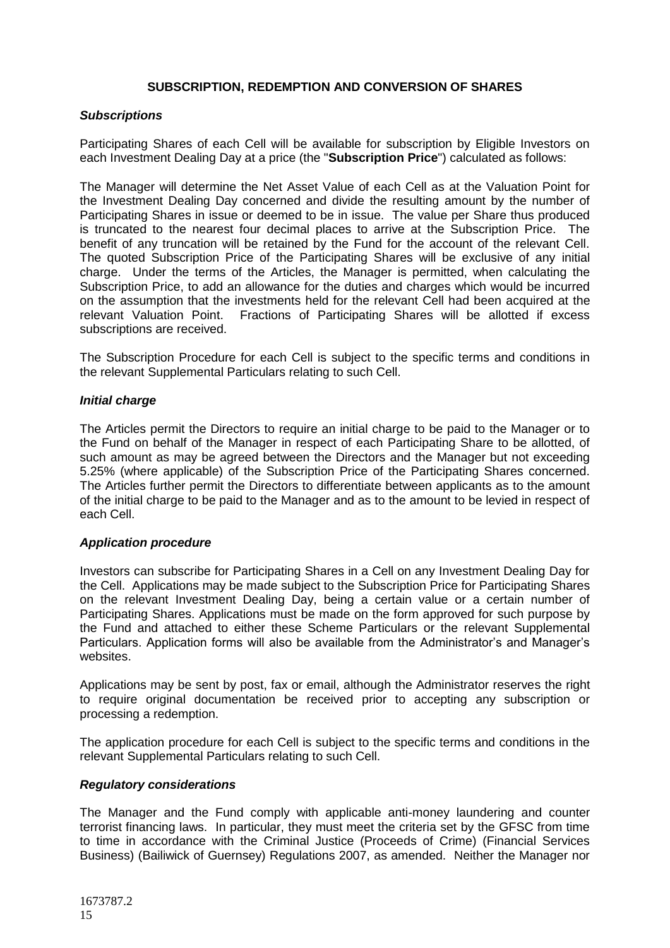# **SUBSCRIPTION, REDEMPTION AND CONVERSION OF SHARES**

### <span id="page-14-0"></span>*Subscriptions*

Participating Shares of each Cell will be available for subscription by Eligible Investors on each Investment Dealing Day at a price (the "**Subscription Price**") calculated as follows:

The Manager will determine the Net Asset Value of each Cell as at the Valuation Point for the Investment Dealing Day concerned and divide the resulting amount by the number of Participating Shares in issue or deemed to be in issue. The value per Share thus produced is truncated to the nearest four decimal places to arrive at the Subscription Price. The benefit of any truncation will be retained by the Fund for the account of the relevant Cell. The quoted Subscription Price of the Participating Shares will be exclusive of any initial charge. Under the terms of the Articles, the Manager is permitted, when calculating the Subscription Price, to add an allowance for the duties and charges which would be incurred on the assumption that the investments held for the relevant Cell had been acquired at the relevant Valuation Point. Fractions of Participating Shares will be allotted if excess subscriptions are received.

The Subscription Procedure for each Cell is subject to the specific terms and conditions in the relevant Supplemental Particulars relating to such Cell.

### *Initial charge*

The Articles permit the Directors to require an initial charge to be paid to the Manager or to the Fund on behalf of the Manager in respect of each Participating Share to be allotted, of such amount as may be agreed between the Directors and the Manager but not exceeding 5.25% (where applicable) of the Subscription Price of the Participating Shares concerned. The Articles further permit the Directors to differentiate between applicants as to the amount of the initial charge to be paid to the Manager and as to the amount to be levied in respect of each Cell.

#### *Application procedure*

Investors can subscribe for Participating Shares in a Cell on any Investment Dealing Day for the Cell. Applications may be made subject to the Subscription Price for Participating Shares on the relevant Investment Dealing Day, being a certain value or a certain number of Participating Shares. Applications must be made on the form approved for such purpose by the Fund and attached to either these Scheme Particulars or the relevant Supplemental Particulars. Application forms will also be available from the Administrator's and Manager's websites.

Applications may be sent by post, fax or email, although the Administrator reserves the right to require original documentation be received prior to accepting any subscription or processing a redemption.

The application procedure for each Cell is subject to the specific terms and conditions in the relevant Supplemental Particulars relating to such Cell.

#### *Regulatory considerations*

The Manager and the Fund comply with applicable anti-money laundering and counter terrorist financing laws. In particular, they must meet the criteria set by the GFSC from time to time in accordance with the Criminal Justice (Proceeds of Crime) (Financial Services Business) (Bailiwick of Guernsey) Regulations 2007, as amended. Neither the Manager nor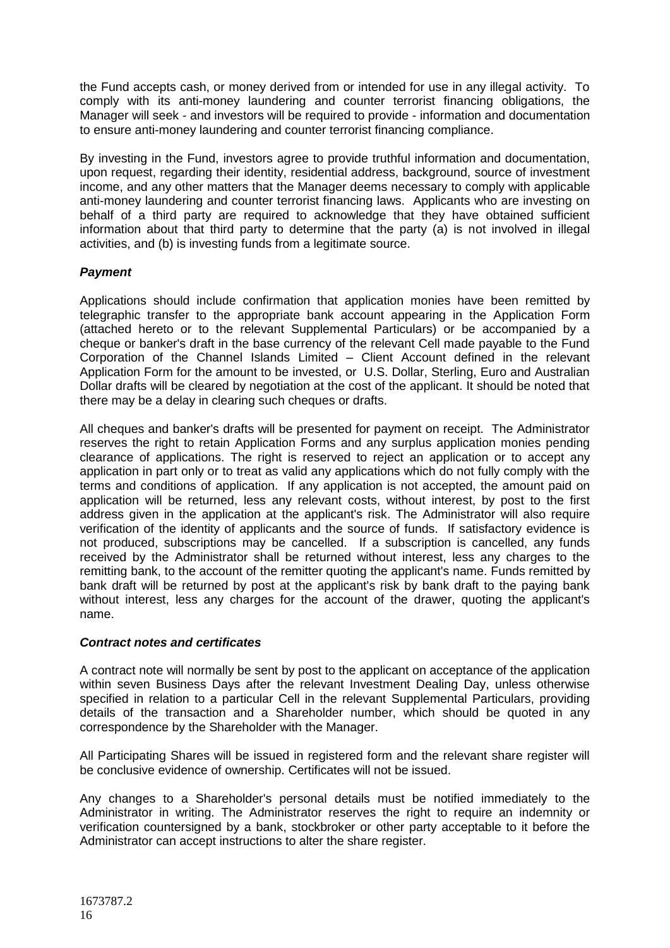the Fund accepts cash, or money derived from or intended for use in any illegal activity. To comply with its anti-money laundering and counter terrorist financing obligations, the Manager will seek - and investors will be required to provide - information and documentation to ensure anti-money laundering and counter terrorist financing compliance.

By investing in the Fund, investors agree to provide truthful information and documentation, upon request, regarding their identity, residential address, background, source of investment income, and any other matters that the Manager deems necessary to comply with applicable anti-money laundering and counter terrorist financing laws. Applicants who are investing on behalf of a third party are required to acknowledge that they have obtained sufficient information about that third party to determine that the party (a) is not involved in illegal activities, and (b) is investing funds from a legitimate source.

# *Payment*

Applications should include confirmation that application monies have been remitted by telegraphic transfer to the appropriate bank account appearing in the Application Form (attached hereto or to the relevant Supplemental Particulars) or be accompanied by a cheque or banker's draft in the base currency of the relevant Cell made payable to the Fund Corporation of the Channel Islands Limited – Client Account defined in the relevant Application Form for the amount to be invested, or U.S. Dollar, Sterling, Euro and Australian Dollar drafts will be cleared by negotiation at the cost of the applicant. It should be noted that there may be a delay in clearing such cheques or drafts.

All cheques and banker's drafts will be presented for payment on receipt. The Administrator reserves the right to retain Application Forms and any surplus application monies pending clearance of applications. The right is reserved to reject an application or to accept any application in part only or to treat as valid any applications which do not fully comply with the terms and conditions of application. If any application is not accepted, the amount paid on application will be returned, less any relevant costs, without interest, by post to the first address given in the application at the applicant's risk. The Administrator will also require verification of the identity of applicants and the source of funds. If satisfactory evidence is not produced, subscriptions may be cancelled. If a subscription is cancelled, any funds received by the Administrator shall be returned without interest, less any charges to the remitting bank, to the account of the remitter quoting the applicant's name. Funds remitted by bank draft will be returned by post at the applicant's risk by bank draft to the paying bank without interest, less any charges for the account of the drawer, quoting the applicant's name.

# *Contract notes and certificates*

A contract note will normally be sent by post to the applicant on acceptance of the application within seven Business Days after the relevant Investment Dealing Day, unless otherwise specified in relation to a particular Cell in the relevant Supplemental Particulars, providing details of the transaction and a Shareholder number, which should be quoted in any correspondence by the Shareholder with the Manager.

All Participating Shares will be issued in registered form and the relevant share register will be conclusive evidence of ownership. Certificates will not be issued.

Any changes to a Shareholder's personal details must be notified immediately to the Administrator in writing. The Administrator reserves the right to require an indemnity or verification countersigned by a bank, stockbroker or other party acceptable to it before the Administrator can accept instructions to alter the share register.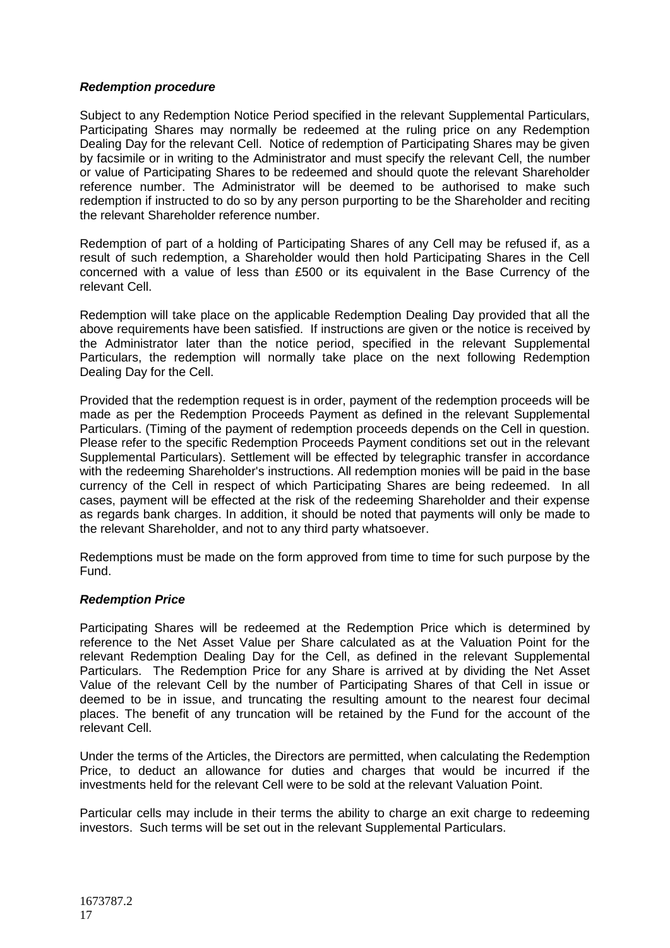# *Redemption procedure*

Subject to any Redemption Notice Period specified in the relevant Supplemental Particulars, Participating Shares may normally be redeemed at the ruling price on any Redemption Dealing Day for the relevant Cell. Notice of redemption of Participating Shares may be given by facsimile or in writing to the Administrator and must specify the relevant Cell, the number or value of Participating Shares to be redeemed and should quote the relevant Shareholder reference number. The Administrator will be deemed to be authorised to make such redemption if instructed to do so by any person purporting to be the Shareholder and reciting the relevant Shareholder reference number.

Redemption of part of a holding of Participating Shares of any Cell may be refused if, as a result of such redemption, a Shareholder would then hold Participating Shares in the Cell concerned with a value of less than £500 or its equivalent in the Base Currency of the relevant Cell.

Redemption will take place on the applicable Redemption Dealing Day provided that all the above requirements have been satisfied. If instructions are given or the notice is received by the Administrator later than the notice period, specified in the relevant Supplemental Particulars, the redemption will normally take place on the next following Redemption Dealing Day for the Cell.

Provided that the redemption request is in order, payment of the redemption proceeds will be made as per the Redemption Proceeds Payment as defined in the relevant Supplemental Particulars. (Timing of the payment of redemption proceeds depends on the Cell in question. Please refer to the specific Redemption Proceeds Payment conditions set out in the relevant Supplemental Particulars). Settlement will be effected by telegraphic transfer in accordance with the redeeming Shareholder's instructions. All redemption monies will be paid in the base currency of the Cell in respect of which Participating Shares are being redeemed. In all cases, payment will be effected at the risk of the redeeming Shareholder and their expense as regards bank charges. In addition, it should be noted that payments will only be made to the relevant Shareholder, and not to any third party whatsoever.

Redemptions must be made on the form approved from time to time for such purpose by the Fund.

#### *Redemption Price*

Participating Shares will be redeemed at the Redemption Price which is determined by reference to the Net Asset Value per Share calculated as at the Valuation Point for the relevant Redemption Dealing Day for the Cell, as defined in the relevant Supplemental Particulars. The Redemption Price for any Share is arrived at by dividing the Net Asset Value of the relevant Cell by the number of Participating Shares of that Cell in issue or deemed to be in issue, and truncating the resulting amount to the nearest four decimal places. The benefit of any truncation will be retained by the Fund for the account of the relevant Cell.

Under the terms of the Articles, the Directors are permitted, when calculating the Redemption Price, to deduct an allowance for duties and charges that would be incurred if the investments held for the relevant Cell were to be sold at the relevant Valuation Point.

Particular cells may include in their terms the ability to charge an exit charge to redeeming investors. Such terms will be set out in the relevant Supplemental Particulars.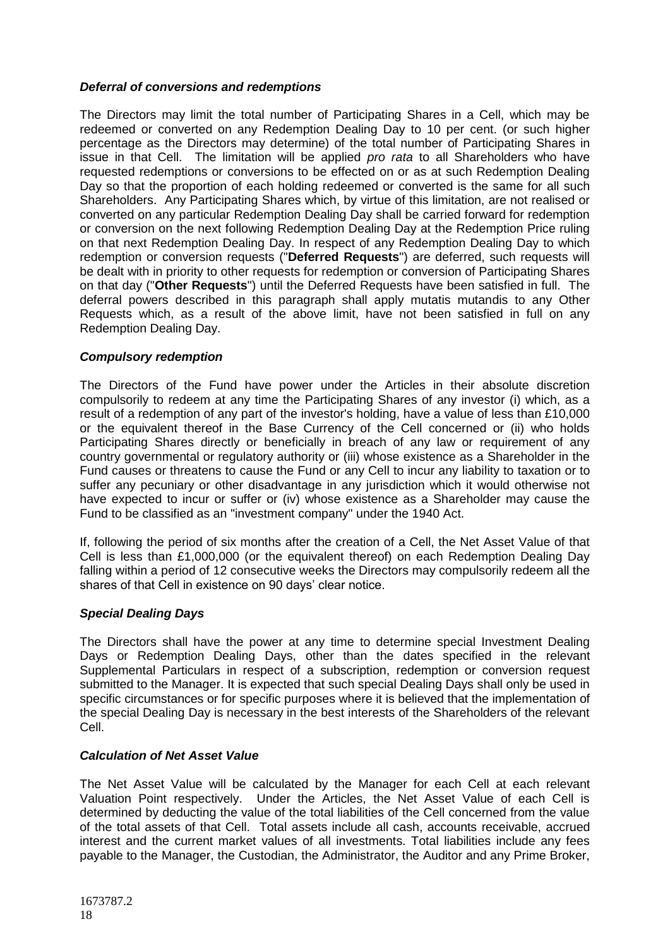# *Deferral of conversions and redemptions*

The Directors may limit the total number of Participating Shares in a Cell, which may be redeemed or converted on any Redemption Dealing Day to 10 per cent. (or such higher percentage as the Directors may determine) of the total number of Participating Shares in issue in that Cell. The limitation will be applied *pro rata* to all Shareholders who have requested redemptions or conversions to be effected on or as at such Redemption Dealing Day so that the proportion of each holding redeemed or converted is the same for all such Shareholders. Any Participating Shares which, by virtue of this limitation, are not realised or converted on any particular Redemption Dealing Day shall be carried forward for redemption or conversion on the next following Redemption Dealing Day at the Redemption Price ruling on that next Redemption Dealing Day. In respect of any Redemption Dealing Day to which redemption or conversion requests ("**Deferred Requests**") are deferred, such requests will be dealt with in priority to other requests for redemption or conversion of Participating Shares on that day ("**Other Requests**") until the Deferred Requests have been satisfied in full. The deferral powers described in this paragraph shall apply mutatis mutandis to any Other Requests which, as a result of the above limit, have not been satisfied in full on any Redemption Dealing Day.

# *Compulsory redemption*

The Directors of the Fund have power under the Articles in their absolute discretion compulsorily to redeem at any time the Participating Shares of any investor (i) which, as a result of a redemption of any part of the investor's holding, have a value of less than £10,000 or the equivalent thereof in the Base Currency of the Cell concerned or (ii) who holds Participating Shares directly or beneficially in breach of any law or requirement of any country governmental or regulatory authority or (iii) whose existence as a Shareholder in the Fund causes or threatens to cause the Fund or any Cell to incur any liability to taxation or to suffer any pecuniary or other disadvantage in any jurisdiction which it would otherwise not have expected to incur or suffer or (iv) whose existence as a Shareholder may cause the Fund to be classified as an "investment company" under the 1940 Act.

If, following the period of six months after the creation of a Cell, the Net Asset Value of that Cell is less than £1,000,000 (or the equivalent thereof) on each Redemption Dealing Day falling within a period of 12 consecutive weeks the Directors may compulsorily redeem all the shares of that Cell in existence on 90 days' clear notice.

# *Special Dealing Days*

The Directors shall have the power at any time to determine special Investment Dealing Days or Redemption Dealing Days, other than the dates specified in the relevant Supplemental Particulars in respect of a subscription, redemption or conversion request submitted to the Manager. It is expected that such special Dealing Days shall only be used in specific circumstances or for specific purposes where it is believed that the implementation of the special Dealing Day is necessary in the best interests of the Shareholders of the relevant Cell.

# *Calculation of Net Asset Value*

The Net Asset Value will be calculated by the Manager for each Cell at each relevant Valuation Point respectively. Under the Articles, the Net Asset Value of each Cell is determined by deducting the value of the total liabilities of the Cell concerned from the value of the total assets of that Cell. Total assets include all cash, accounts receivable, accrued interest and the current market values of all investments. Total liabilities include any fees payable to the Manager, the Custodian, the Administrator, the Auditor and any Prime Broker,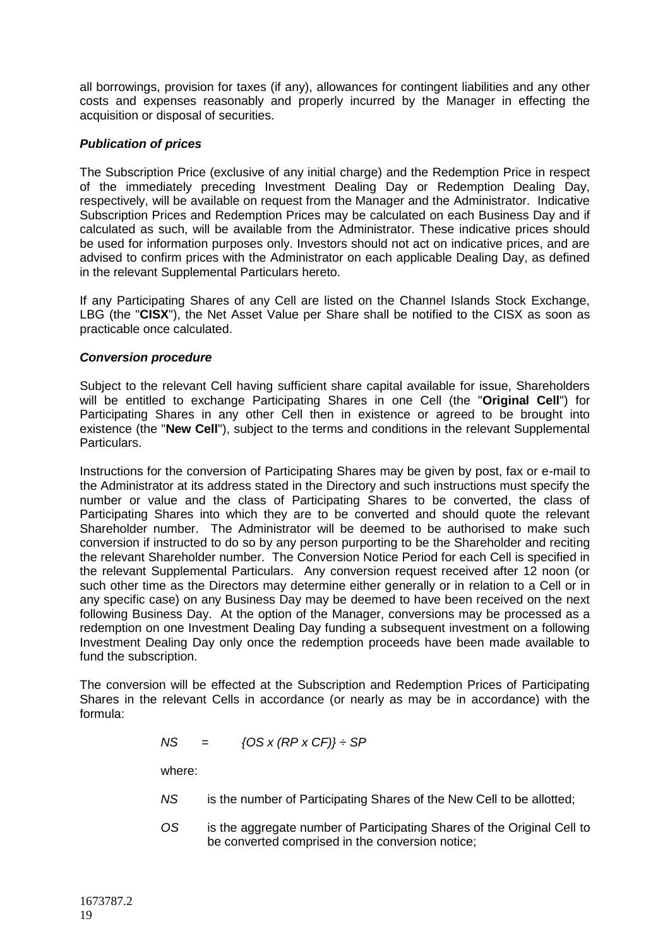all borrowings, provision for taxes (if any), allowances for contingent liabilities and any other costs and expenses reasonably and properly incurred by the Manager in effecting the acquisition or disposal of securities.

# *Publication of prices*

The Subscription Price (exclusive of any initial charge) and the Redemption Price in respect of the immediately preceding Investment Dealing Day or Redemption Dealing Day, respectively, will be available on request from the Manager and the Administrator. Indicative Subscription Prices and Redemption Prices may be calculated on each Business Day and if calculated as such, will be available from the Administrator. These indicative prices should be used for information purposes only. Investors should not act on indicative prices, and are advised to confirm prices with the Administrator on each applicable Dealing Day, as defined in the relevant Supplemental Particulars hereto.

If any Participating Shares of any Cell are listed on the Channel Islands Stock Exchange, LBG (the "**CISX**"), the Net Asset Value per Share shall be notified to the CISX as soon as practicable once calculated.

# *Conversion procedure*

Subject to the relevant Cell having sufficient share capital available for issue, Shareholders will be entitled to exchange Participating Shares in one Cell (the "**Original Cell**") for Participating Shares in any other Cell then in existence or agreed to be brought into existence (the "**New Cell**"), subject to the terms and conditions in the relevant Supplemental Particulars.

Instructions for the conversion of Participating Shares may be given by post, fax or e-mail to the Administrator at its address stated in the Directory and such instructions must specify the number or value and the class of Participating Shares to be converted, the class of Participating Shares into which they are to be converted and should quote the relevant Shareholder number. The Administrator will be deemed to be authorised to make such conversion if instructed to do so by any person purporting to be the Shareholder and reciting the relevant Shareholder number. The Conversion Notice Period for each Cell is specified in the relevant Supplemental Particulars. Any conversion request received after 12 noon (or such other time as the Directors may determine either generally or in relation to a Cell or in any specific case) on any Business Day may be deemed to have been received on the next following Business Day. At the option of the Manager, conversions may be processed as a redemption on one Investment Dealing Day funding a subsequent investment on a following Investment Dealing Day only once the redemption proceeds have been made available to fund the subscription.

The conversion will be effected at the Subscription and Redemption Prices of Participating Shares in the relevant Cells in accordance (or nearly as may be in accordance) with the formula:

$$
NS = \{OS \times (RP \times CF)\} \div SP
$$

where:

- *NS* is the number of Participating Shares of the New Cell to be allotted;
- *OS* is the aggregate number of Participating Shares of the Original Cell to be converted comprised in the conversion notice;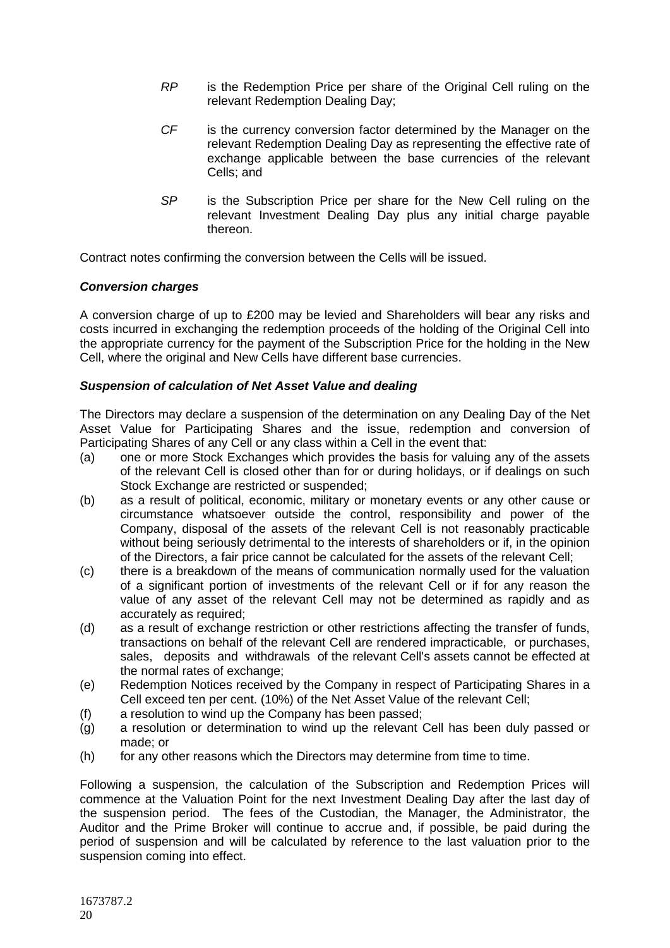- *RP* is the Redemption Price per share of the Original Cell ruling on the relevant Redemption Dealing Day;
- *CF* is the currency conversion factor determined by the Manager on the relevant Redemption Dealing Day as representing the effective rate of exchange applicable between the base currencies of the relevant Cells; and
- *SP* is the Subscription Price per share for the New Cell ruling on the relevant Investment Dealing Day plus any initial charge payable thereon.

Contract notes confirming the conversion between the Cells will be issued.

# *Conversion charges*

A conversion charge of up to £200 may be levied and Shareholders will bear any risks and costs incurred in exchanging the redemption proceeds of the holding of the Original Cell into the appropriate currency for the payment of the Subscription Price for the holding in the New Cell, where the original and New Cells have different base currencies.

# *Suspension of calculation of Net Asset Value and dealing*

The Directors may declare a suspension of the determination on any Dealing Day of the Net Asset Value for Participating Shares and the issue, redemption and conversion of Participating Shares of any Cell or any class within a Cell in the event that:

- (a) one or more Stock Exchanges which provides the basis for valuing any of the assets of the relevant Cell is closed other than for or during holidays, or if dealings on such Stock Exchange are restricted or suspended;
- (b) as a result of political, economic, military or monetary events or any other cause or circumstance whatsoever outside the control, responsibility and power of the Company, disposal of the assets of the relevant Cell is not reasonably practicable without being seriously detrimental to the interests of shareholders or if, in the opinion of the Directors, a fair price cannot be calculated for the assets of the relevant Cell;
- (c) there is a breakdown of the means of communication normally used for the valuation of a significant portion of investments of the relevant Cell or if for any reason the value of any asset of the relevant Cell may not be determined as rapidly and as accurately as required;
- (d) as a result of exchange restriction or other restrictions affecting the transfer of funds, transactions on behalf of the relevant Cell are rendered impracticable, or purchases, sales, deposits and withdrawals of the relevant Cell's assets cannot be effected at the normal rates of exchange;
- (e) Redemption Notices received by the Company in respect of Participating Shares in a Cell exceed ten per cent. (10%) of the Net Asset Value of the relevant Cell;
- (f) a resolution to wind up the Company has been passed;
- (g) a resolution or determination to wind up the relevant Cell has been duly passed or made; or
- (h) for any other reasons which the Directors may determine from time to time.

Following a suspension, the calculation of the Subscription and Redemption Prices will commence at the Valuation Point for the next Investment Dealing Day after the last day of the suspension period. The fees of the Custodian, the Manager, the Administrator, the Auditor and the Prime Broker will continue to accrue and, if possible, be paid during the period of suspension and will be calculated by reference to the last valuation prior to the suspension coming into effect.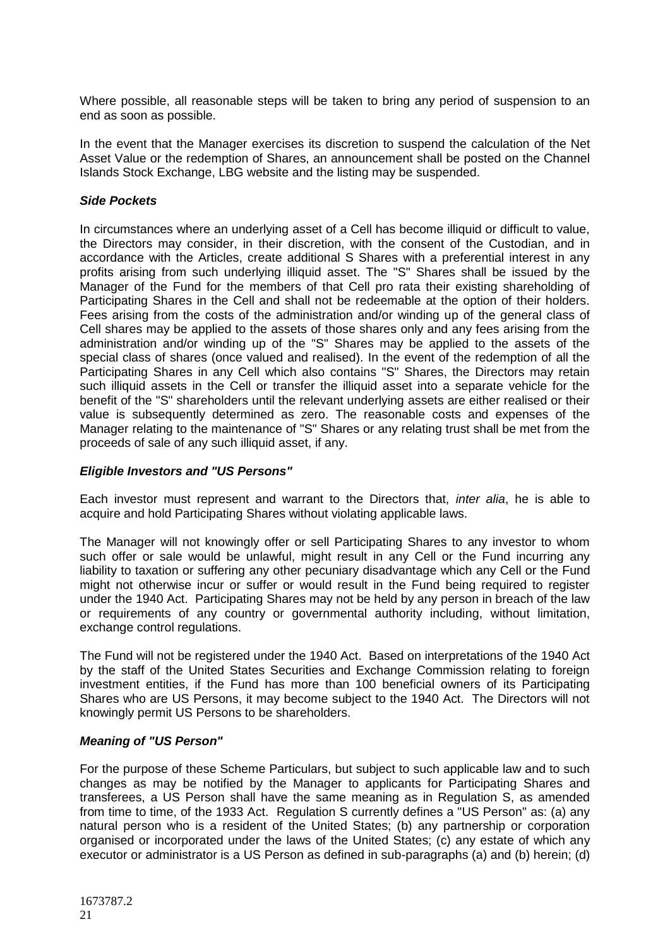Where possible, all reasonable steps will be taken to bring any period of suspension to an end as soon as possible.

In the event that the Manager exercises its discretion to suspend the calculation of the Net Asset Value or the redemption of Shares, an announcement shall be posted on the Channel Islands Stock Exchange, LBG website and the listing may be suspended.

### *Side Pockets*

In circumstances where an underlying asset of a Cell has become illiquid or difficult to value, the Directors may consider, in their discretion, with the consent of the Custodian, and in accordance with the Articles, create additional S Shares with a preferential interest in any profits arising from such underlying illiquid asset. The "S" Shares shall be issued by the Manager of the Fund for the members of that Cell pro rata their existing shareholding of Participating Shares in the Cell and shall not be redeemable at the option of their holders. Fees arising from the costs of the administration and/or winding up of the general class of Cell shares may be applied to the assets of those shares only and any fees arising from the administration and/or winding up of the "S" Shares may be applied to the assets of the special class of shares (once valued and realised). In the event of the redemption of all the Participating Shares in any Cell which also contains "S" Shares, the Directors may retain such illiquid assets in the Cell or transfer the illiquid asset into a separate vehicle for the benefit of the "S" shareholders until the relevant underlying assets are either realised or their value is subsequently determined as zero. The reasonable costs and expenses of the Manager relating to the maintenance of "S" Shares or any relating trust shall be met from the proceeds of sale of any such illiquid asset, if any.

# *Eligible Investors and "US Persons"*

Each investor must represent and warrant to the Directors that, *inter alia*, he is able to acquire and hold Participating Shares without violating applicable laws.

The Manager will not knowingly offer or sell Participating Shares to any investor to whom such offer or sale would be unlawful, might result in any Cell or the Fund incurring any liability to taxation or suffering any other pecuniary disadvantage which any Cell or the Fund might not otherwise incur or suffer or would result in the Fund being required to register under the 1940 Act. Participating Shares may not be held by any person in breach of the law or requirements of any country or governmental authority including, without limitation, exchange control regulations.

The Fund will not be registered under the 1940 Act. Based on interpretations of the 1940 Act by the staff of the United States Securities and Exchange Commission relating to foreign investment entities, if the Fund has more than 100 beneficial owners of its Participating Shares who are US Persons, it may become subject to the 1940 Act. The Directors will not knowingly permit US Persons to be shareholders.

#### *Meaning of "US Person"*

For the purpose of these Scheme Particulars, but subject to such applicable law and to such changes as may be notified by the Manager to applicants for Participating Shares and transferees, a US Person shall have the same meaning as in Regulation S, as amended from time to time, of the 1933 Act. Regulation S currently defines a "US Person" as: (a) any natural person who is a resident of the United States; (b) any partnership or corporation organised or incorporated under the laws of the United States; (c) any estate of which any executor or administrator is a US Person as defined in sub-paragraphs (a) and (b) herein; (d)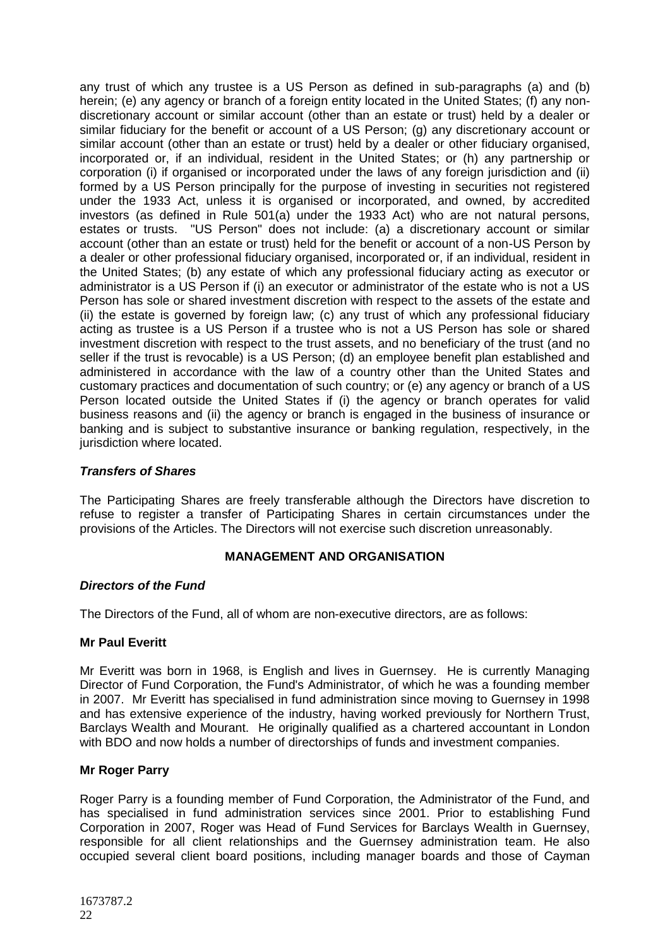any trust of which any trustee is a US Person as defined in sub-paragraphs (a) and (b) herein; (e) any agency or branch of a foreign entity located in the United States; (f) any nondiscretionary account or similar account (other than an estate or trust) held by a dealer or similar fiduciary for the benefit or account of a US Person; (g) any discretionary account or similar account (other than an estate or trust) held by a dealer or other fiduciary organised, incorporated or, if an individual, resident in the United States; or (h) any partnership or corporation (i) if organised or incorporated under the laws of any foreign jurisdiction and (ii) formed by a US Person principally for the purpose of investing in securities not registered under the 1933 Act, unless it is organised or incorporated, and owned, by accredited investors (as defined in Rule 501(a) under the 1933 Act) who are not natural persons, estates or trusts. "US Person" does not include: (a) a discretionary account or similar account (other than an estate or trust) held for the benefit or account of a non-US Person by a dealer or other professional fiduciary organised, incorporated or, if an individual, resident in the United States; (b) any estate of which any professional fiduciary acting as executor or administrator is a US Person if (i) an executor or administrator of the estate who is not a US Person has sole or shared investment discretion with respect to the assets of the estate and (ii) the estate is governed by foreign law; (c) any trust of which any professional fiduciary acting as trustee is a US Person if a trustee who is not a US Person has sole or shared investment discretion with respect to the trust assets, and no beneficiary of the trust (and no seller if the trust is revocable) is a US Person; (d) an employee benefit plan established and administered in accordance with the law of a country other than the United States and customary practices and documentation of such country; or (e) any agency or branch of a US Person located outside the United States if (i) the agency or branch operates for valid business reasons and (ii) the agency or branch is engaged in the business of insurance or banking and is subject to substantive insurance or banking regulation, respectively, in the jurisdiction where located.

# *Transfers of Shares*

The Participating Shares are freely transferable although the Directors have discretion to refuse to register a transfer of Participating Shares in certain circumstances under the provisions of the Articles. The Directors will not exercise such discretion unreasonably.

# **MANAGEMENT AND ORGANISATION**

# <span id="page-21-0"></span>*Directors of the Fund*

The Directors of the Fund, all of whom are non-executive directors, are as follows:

# **Mr Paul Everitt**

Mr Everitt was born in 1968, is English and lives in Guernsey. He is currently Managing Director of Fund Corporation, the Fund's Administrator, of which he was a founding member in 2007. Mr Everitt has specialised in fund administration since moving to Guernsey in 1998 and has extensive experience of the industry, having worked previously for Northern Trust, Barclays Wealth and Mourant. He originally qualified as a chartered accountant in London with BDO and now holds a number of directorships of funds and investment companies.

# **Mr Roger Parry**

Roger Parry is a founding member of Fund Corporation, the Administrator of the Fund, and has specialised in fund administration services since 2001. Prior to establishing Fund Corporation in 2007, Roger was Head of Fund Services for Barclays Wealth in Guernsey, responsible for all client relationships and the Guernsey administration team. He also occupied several client board positions, including manager boards and those of Cayman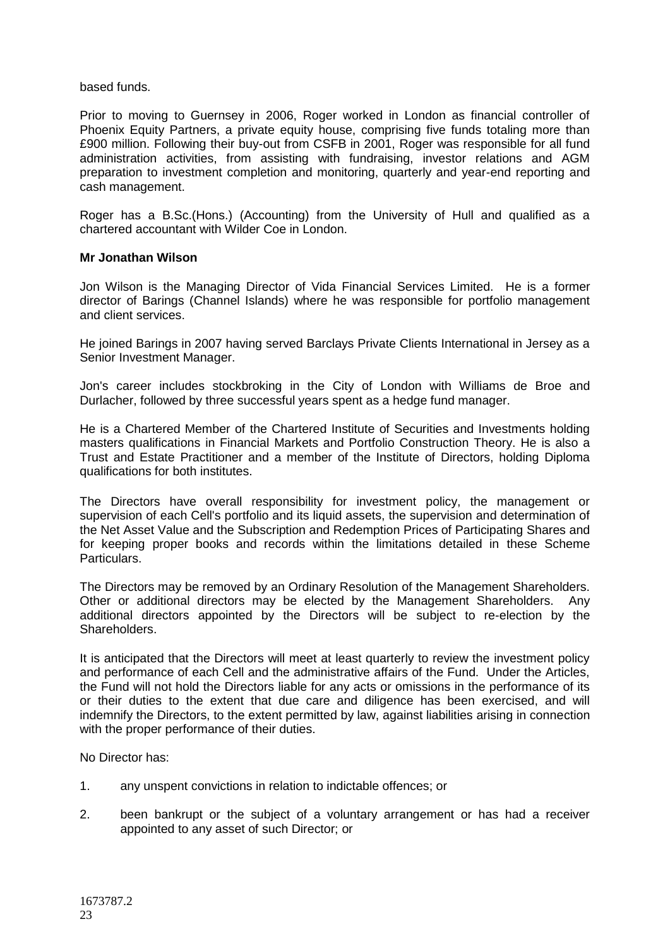### based funds.

Prior to moving to Guernsey in 2006, Roger worked in London as financial controller of Phoenix Equity Partners, a private equity house, comprising five funds totaling more than £900 million. Following their buy-out from CSFB in 2001, Roger was responsible for all fund administration activities, from assisting with fundraising, investor relations and AGM preparation to investment completion and monitoring, quarterly and year-end reporting and cash management.

Roger has a B.Sc.(Hons.) (Accounting) from the University of Hull and qualified as a chartered accountant with Wilder Coe in London.

### **Mr Jonathan Wilson**

Jon Wilson is the Managing Director of Vida Financial Services Limited. He is a former director of Barings (Channel Islands) where he was responsible for portfolio management and client services.

He joined Barings in 2007 having served Barclays Private Clients International in Jersey as a Senior Investment Manager.

Jon's career includes stockbroking in the City of London with Williams de Broe and Durlacher, followed by three successful years spent as a hedge fund manager.

He is a Chartered Member of the Chartered Institute of Securities and Investments holding masters qualifications in Financial Markets and Portfolio Construction Theory. He is also a Trust and Estate Practitioner and a member of the Institute of Directors, holding Diploma qualifications for both institutes.

The Directors have overall responsibility for investment policy, the management or supervision of each Cell's portfolio and its liquid assets, the supervision and determination of the Net Asset Value and the Subscription and Redemption Prices of Participating Shares and for keeping proper books and records within the limitations detailed in these Scheme Particulars.

The Directors may be removed by an Ordinary Resolution of the Management Shareholders. Other or additional directors may be elected by the Management Shareholders. Any additional directors appointed by the Directors will be subject to re-election by the Shareholders.

It is anticipated that the Directors will meet at least quarterly to review the investment policy and performance of each Cell and the administrative affairs of the Fund. Under the Articles, the Fund will not hold the Directors liable for any acts or omissions in the performance of its or their duties to the extent that due care and diligence has been exercised, and will indemnify the Directors, to the extent permitted by law, against liabilities arising in connection with the proper performance of their duties.

No Director has:

- 1. any unspent convictions in relation to indictable offences; or
- 2. been bankrupt or the subject of a voluntary arrangement or has had a receiver appointed to any asset of such Director; or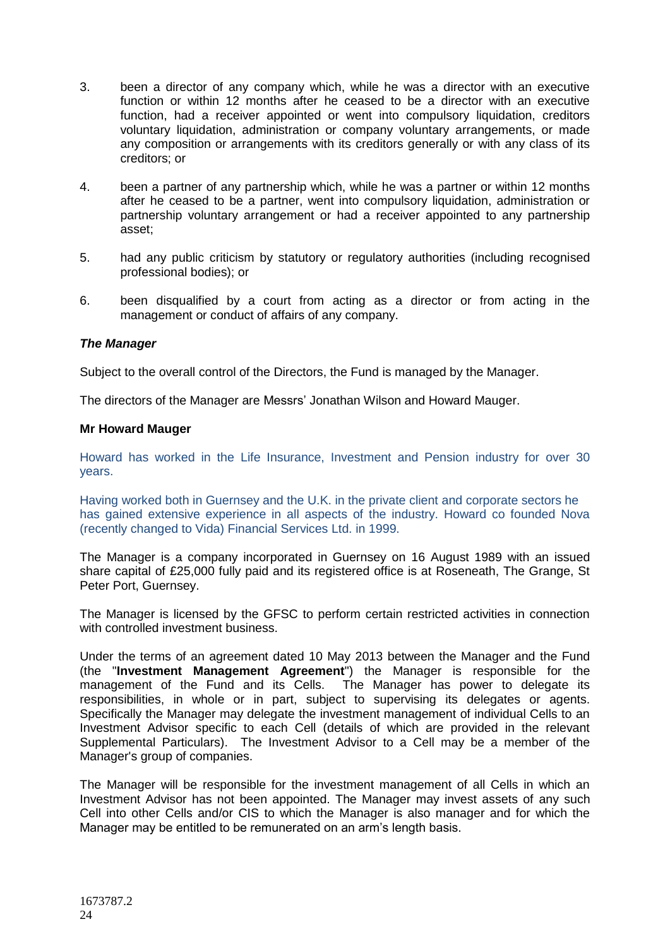- 3. been a director of any company which, while he was a director with an executive function or within 12 months after he ceased to be a director with an executive function, had a receiver appointed or went into compulsory liquidation, creditors voluntary liquidation, administration or company voluntary arrangements, or made any composition or arrangements with its creditors generally or with any class of its creditors; or
- 4. been a partner of any partnership which, while he was a partner or within 12 months after he ceased to be a partner, went into compulsory liquidation, administration or partnership voluntary arrangement or had a receiver appointed to any partnership asset;
- 5. had any public criticism by statutory or regulatory authorities (including recognised professional bodies); or
- 6. been disqualified by a court from acting as a director or from acting in the management or conduct of affairs of any company.

# *The Manager*

Subject to the overall control of the Directors, the Fund is managed by the Manager.

The directors of the Manager are Messrs' Jonathan Wilson and Howard Mauger.

#### **Mr Howard Mauger**

Howard has worked in the Life Insurance, Investment and Pension industry for over 30 years.

Having worked both in Guernsey and the U.K. in the private client and corporate sectors he has gained extensive experience in all aspects of the industry. Howard co founded Nova (recently changed to Vida) Financial Services Ltd. in 1999.

The Manager is a company incorporated in Guernsey on 16 August 1989 with an issued share capital of £25,000 fully paid and its registered office is at Roseneath, The Grange, St Peter Port, Guernsey.

The Manager is licensed by the GFSC to perform certain restricted activities in connection with controlled investment business.

Under the terms of an agreement dated 10 May 2013 between the Manager and the Fund (the "**Investment Management Agreement**") the Manager is responsible for the management of the Fund and its Cells. The Manager has power to delegate its responsibilities, in whole or in part, subject to supervising its delegates or agents. Specifically the Manager may delegate the investment management of individual Cells to an Investment Advisor specific to each Cell (details of which are provided in the relevant Supplemental Particulars). The Investment Advisor to a Cell may be a member of the Manager's group of companies.

The Manager will be responsible for the investment management of all Cells in which an Investment Advisor has not been appointed. The Manager may invest assets of any such Cell into other Cells and/or CIS to which the Manager is also manager and for which the Manager may be entitled to be remunerated on an arm's length basis.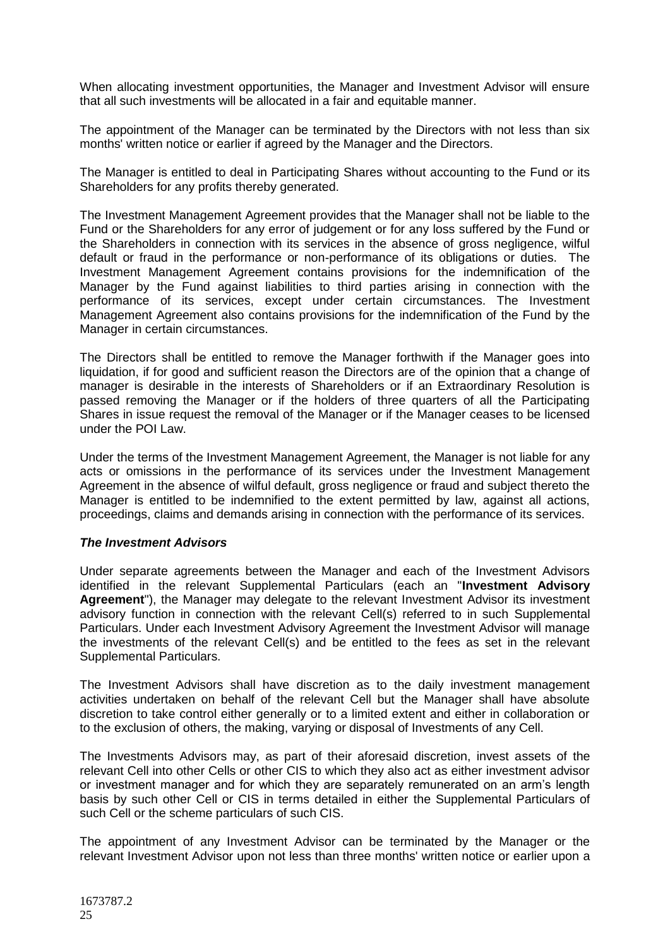When allocating investment opportunities, the Manager and Investment Advisor will ensure that all such investments will be allocated in a fair and equitable manner.

The appointment of the Manager can be terminated by the Directors with not less than six months' written notice or earlier if agreed by the Manager and the Directors.

The Manager is entitled to deal in Participating Shares without accounting to the Fund or its Shareholders for any profits thereby generated.

The Investment Management Agreement provides that the Manager shall not be liable to the Fund or the Shareholders for any error of judgement or for any loss suffered by the Fund or the Shareholders in connection with its services in the absence of gross negligence, wilful default or fraud in the performance or non-performance of its obligations or duties. The Investment Management Agreement contains provisions for the indemnification of the Manager by the Fund against liabilities to third parties arising in connection with the performance of its services, except under certain circumstances. The Investment Management Agreement also contains provisions for the indemnification of the Fund by the Manager in certain circumstances.

The Directors shall be entitled to remove the Manager forthwith if the Manager goes into liquidation, if for good and sufficient reason the Directors are of the opinion that a change of manager is desirable in the interests of Shareholders or if an Extraordinary Resolution is passed removing the Manager or if the holders of three quarters of all the Participating Shares in issue request the removal of the Manager or if the Manager ceases to be licensed under the POI Law.

Under the terms of the Investment Management Agreement, the Manager is not liable for any acts or omissions in the performance of its services under the Investment Management Agreement in the absence of wilful default, gross negligence or fraud and subject thereto the Manager is entitled to be indemnified to the extent permitted by law, against all actions, proceedings, claims and demands arising in connection with the performance of its services.

#### *The Investment Advisors*

Under separate agreements between the Manager and each of the Investment Advisors identified in the relevant Supplemental Particulars (each an "**Investment Advisory Agreement**"), the Manager may delegate to the relevant Investment Advisor its investment advisory function in connection with the relevant Cell(s) referred to in such Supplemental Particulars. Under each Investment Advisory Agreement the Investment Advisor will manage the investments of the relevant Cell(s) and be entitled to the fees as set in the relevant Supplemental Particulars.

The Investment Advisors shall have discretion as to the daily investment management activities undertaken on behalf of the relevant Cell but the Manager shall have absolute discretion to take control either generally or to a limited extent and either in collaboration or to the exclusion of others, the making, varying or disposal of Investments of any Cell.

The Investments Advisors may, as part of their aforesaid discretion, invest assets of the relevant Cell into other Cells or other CIS to which they also act as either investment advisor or investment manager and for which they are separately remunerated on an arm's length basis by such other Cell or CIS in terms detailed in either the Supplemental Particulars of such Cell or the scheme particulars of such CIS.

The appointment of any Investment Advisor can be terminated by the Manager or the relevant Investment Advisor upon not less than three months' written notice or earlier upon a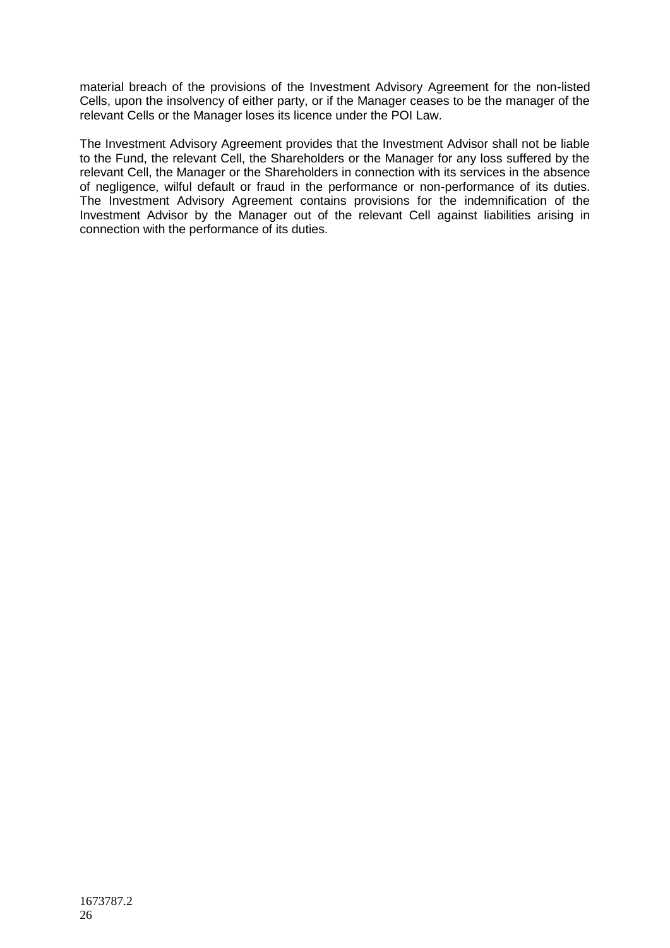material breach of the provisions of the Investment Advisory Agreement for the non-listed Cells, upon the insolvency of either party, or if the Manager ceases to be the manager of the relevant Cells or the Manager loses its licence under the POI Law.

The Investment Advisory Agreement provides that the Investment Advisor shall not be liable to the Fund, the relevant Cell, the Shareholders or the Manager for any loss suffered by the relevant Cell, the Manager or the Shareholders in connection with its services in the absence of negligence, wilful default or fraud in the performance or non-performance of its duties. The Investment Advisory Agreement contains provisions for the indemnification of the Investment Advisor by the Manager out of the relevant Cell against liabilities arising in connection with the performance of its duties.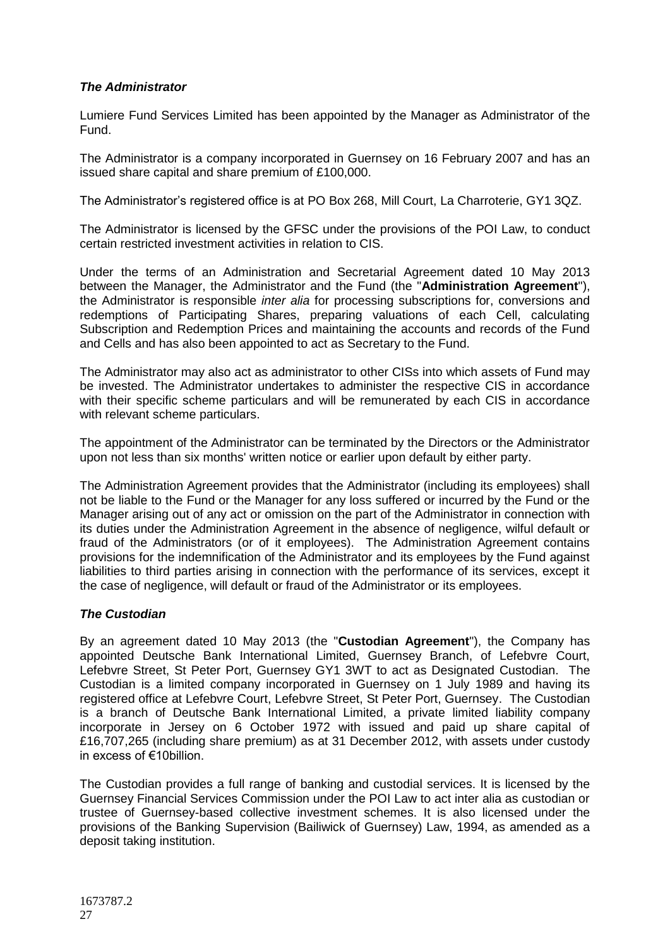# *The Administrator*

Lumiere Fund Services Limited has been appointed by the Manager as Administrator of the Fund.

The Administrator is a company incorporated in Guernsey on 16 February 2007 and has an issued share capital and share premium of £100,000.

The Administrator's registered office is at PO Box 268, Mill Court, La Charroterie, GY1 3QZ.

The Administrator is licensed by the GFSC under the provisions of the POI Law, to conduct certain restricted investment activities in relation to CIS.

Under the terms of an Administration and Secretarial Agreement dated 10 May 2013 between the Manager, the Administrator and the Fund (the "**Administration Agreement**"), the Administrator is responsible *inter alia* for processing subscriptions for, conversions and redemptions of Participating Shares, preparing valuations of each Cell, calculating Subscription and Redemption Prices and maintaining the accounts and records of the Fund and Cells and has also been appointed to act as Secretary to the Fund.

The Administrator may also act as administrator to other CISs into which assets of Fund may be invested. The Administrator undertakes to administer the respective CIS in accordance with their specific scheme particulars and will be remunerated by each CIS in accordance with relevant scheme particulars.

The appointment of the Administrator can be terminated by the Directors or the Administrator upon not less than six months' written notice or earlier upon default by either party.

The Administration Agreement provides that the Administrator (including its employees) shall not be liable to the Fund or the Manager for any loss suffered or incurred by the Fund or the Manager arising out of any act or omission on the part of the Administrator in connection with its duties under the Administration Agreement in the absence of negligence, wilful default or fraud of the Administrators (or of it employees). The Administration Agreement contains provisions for the indemnification of the Administrator and its employees by the Fund against liabilities to third parties arising in connection with the performance of its services, except it the case of negligence, will default or fraud of the Administrator or its employees.

# *The Custodian*

By an agreement dated 10 May 2013 (the "**Custodian Agreement**"), the Company has appointed Deutsche Bank International Limited, Guernsey Branch, of Lefebvre Court, Lefebvre Street, St Peter Port, Guernsey GY1 3WT to act as Designated Custodian. The Custodian is a limited company incorporated in Guernsey on 1 July 1989 and having its registered office at Lefebvre Court, Lefebvre Street, St Peter Port, Guernsey. The Custodian is a branch of Deutsche Bank International Limited, a private limited liability company incorporate in Jersey on 6 October 1972 with issued and paid up share capital of £16,707,265 (including share premium) as at 31 December 2012, with assets under custody in excess of €10billion.

The Custodian provides a full range of banking and custodial services. It is licensed by the Guernsey Financial Services Commission under the POI Law to act inter alia as custodian or trustee of Guernsey-based collective investment schemes. It is also licensed under the provisions of the Banking Supervision (Bailiwick of Guernsey) Law, 1994, as amended as a deposit taking institution.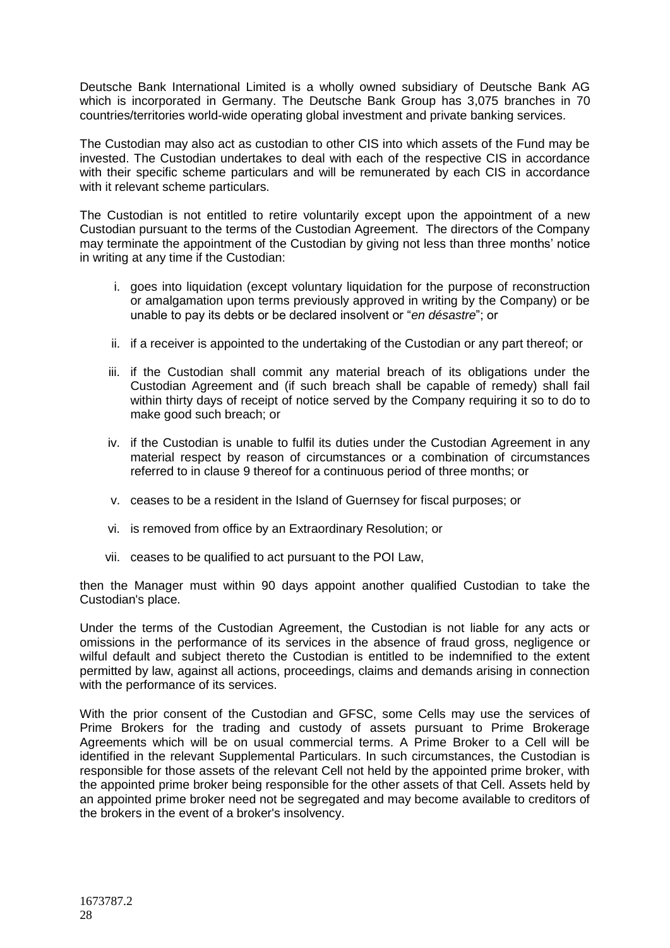Deutsche Bank International Limited is a wholly owned subsidiary of Deutsche Bank AG which is incorporated in Germany. The Deutsche Bank Group has 3,075 branches in 70 countries/territories world-wide operating global investment and private banking services.

The Custodian may also act as custodian to other CIS into which assets of the Fund may be invested. The Custodian undertakes to deal with each of the respective CIS in accordance with their specific scheme particulars and will be remunerated by each CIS in accordance with it relevant scheme particulars.

The Custodian is not entitled to retire voluntarily except upon the appointment of a new Custodian pursuant to the terms of the Custodian Agreement. The directors of the Company may terminate the appointment of the Custodian by giving not less than three months' notice in writing at any time if the Custodian:

- i. goes into liquidation (except voluntary liquidation for the purpose of reconstruction or amalgamation upon terms previously approved in writing by the Company) or be unable to pay its debts or be declared insolvent or "*en désastre*"; or
- ii. if a receiver is appointed to the undertaking of the Custodian or any part thereof; or
- iii. if the Custodian shall commit any material breach of its obligations under the Custodian Agreement and (if such breach shall be capable of remedy) shall fail within thirty days of receipt of notice served by the Company requiring it so to do to make good such breach; or
- iv. if the Custodian is unable to fulfil its duties under the Custodian Agreement in any material respect by reason of circumstances or a combination of circumstances referred to in clause 9 thereof for a continuous period of three months; or
- v. ceases to be a resident in the Island of Guernsey for fiscal purposes; or
- vi. is removed from office by an Extraordinary Resolution; or
- vii. ceases to be qualified to act pursuant to the POI Law,

then the Manager must within 90 days appoint another qualified Custodian to take the Custodian's place.

Under the terms of the Custodian Agreement, the Custodian is not liable for any acts or omissions in the performance of its services in the absence of fraud gross, negligence or wilful default and subject thereto the Custodian is entitled to be indemnified to the extent permitted by law, against all actions, proceedings, claims and demands arising in connection with the performance of its services.

With the prior consent of the Custodian and GFSC, some Cells may use the services of Prime Brokers for the trading and custody of assets pursuant to Prime Brokerage Agreements which will be on usual commercial terms. A Prime Broker to a Cell will be identified in the relevant Supplemental Particulars. In such circumstances, the Custodian is responsible for those assets of the relevant Cell not held by the appointed prime broker, with the appointed prime broker being responsible for the other assets of that Cell. Assets held by an appointed prime broker need not be segregated and may become available to creditors of the brokers in the event of a broker's insolvency.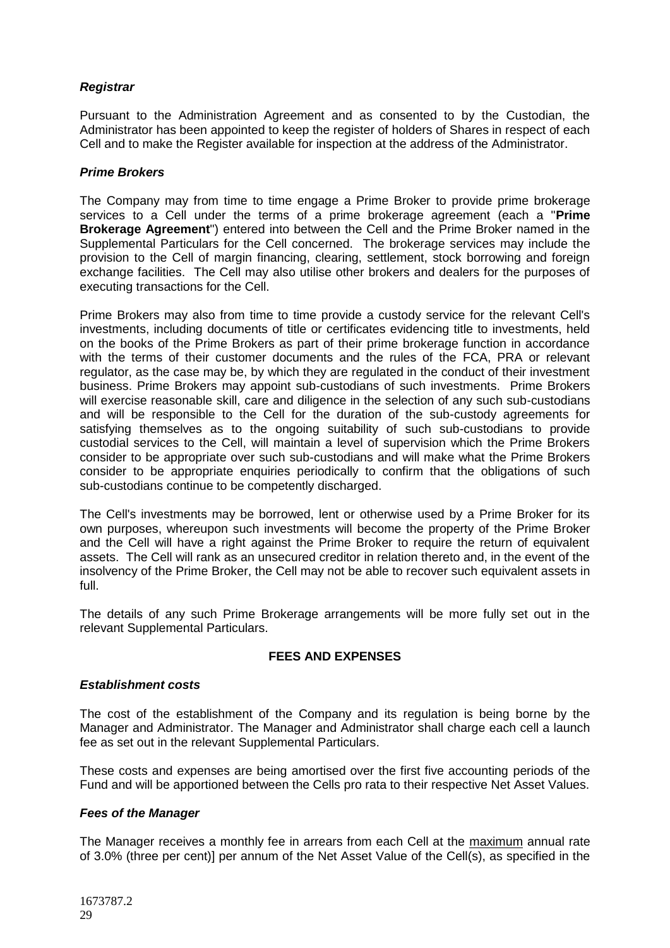# *Registrar*

Pursuant to the Administration Agreement and as consented to by the Custodian, the Administrator has been appointed to keep the register of holders of Shares in respect of each Cell and to make the Register available for inspection at the address of the Administrator.

# *Prime Brokers*

The Company may from time to time engage a Prime Broker to provide prime brokerage services to a Cell under the terms of a prime brokerage agreement (each a "**Prime Brokerage Agreement**") entered into between the Cell and the Prime Broker named in the Supplemental Particulars for the Cell concerned. The brokerage services may include the provision to the Cell of margin financing, clearing, settlement, stock borrowing and foreign exchange facilities. The Cell may also utilise other brokers and dealers for the purposes of executing transactions for the Cell.

Prime Brokers may also from time to time provide a custody service for the relevant Cell's investments, including documents of title or certificates evidencing title to investments, held on the books of the Prime Brokers as part of their prime brokerage function in accordance with the terms of their customer documents and the rules of the FCA, PRA or relevant regulator, as the case may be, by which they are regulated in the conduct of their investment business. Prime Brokers may appoint sub-custodians of such investments. Prime Brokers will exercise reasonable skill, care and diligence in the selection of any such sub-custodians and will be responsible to the Cell for the duration of the sub-custody agreements for satisfying themselves as to the ongoing suitability of such sub-custodians to provide custodial services to the Cell, will maintain a level of supervision which the Prime Brokers consider to be appropriate over such sub-custodians and will make what the Prime Brokers consider to be appropriate enquiries periodically to confirm that the obligations of such sub-custodians continue to be competently discharged.

The Cell's investments may be borrowed, lent or otherwise used by a Prime Broker for its own purposes, whereupon such investments will become the property of the Prime Broker and the Cell will have a right against the Prime Broker to require the return of equivalent assets. The Cell will rank as an unsecured creditor in relation thereto and, in the event of the insolvency of the Prime Broker, the Cell may not be able to recover such equivalent assets in full.

The details of any such Prime Brokerage arrangements will be more fully set out in the relevant Supplemental Particulars.

# **FEES AND EXPENSES**

# <span id="page-28-0"></span>*Establishment costs*

The cost of the establishment of the Company and its regulation is being borne by the Manager and Administrator. The Manager and Administrator shall charge each cell a launch fee as set out in the relevant Supplemental Particulars.

These costs and expenses are being amortised over the first five accounting periods of the Fund and will be apportioned between the Cells pro rata to their respective Net Asset Values.

# *Fees of the Manager*

The Manager receives a monthly fee in arrears from each Cell at the maximum annual rate of 3.0% (three per cent)] per annum of the Net Asset Value of the Cell(s), as specified in the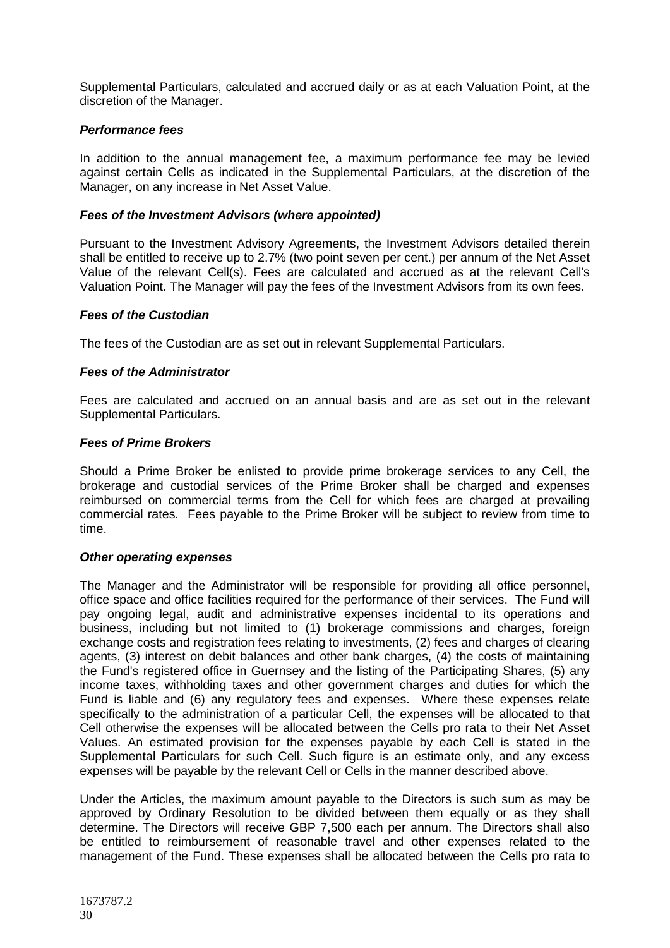Supplemental Particulars, calculated and accrued daily or as at each Valuation Point, at the discretion of the Manager.

# *Performance fees*

In addition to the annual management fee, a maximum performance fee may be levied against certain Cells as indicated in the Supplemental Particulars, at the discretion of the Manager, on any increase in Net Asset Value.

# *Fees of the Investment Advisors (where appointed)*

Pursuant to the Investment Advisory Agreements, the Investment Advisors detailed therein shall be entitled to receive up to 2.7% (two point seven per cent.) per annum of the Net Asset Value of the relevant Cell(s). Fees are calculated and accrued as at the relevant Cell's Valuation Point. The Manager will pay the fees of the Investment Advisors from its own fees.

# *Fees of the Custodian*

The fees of the Custodian are as set out in relevant Supplemental Particulars.

# *Fees of the Administrator*

Fees are calculated and accrued on an annual basis and are as set out in the relevant Supplemental Particulars.

# *Fees of Prime Brokers*

Should a Prime Broker be enlisted to provide prime brokerage services to any Cell, the brokerage and custodial services of the Prime Broker shall be charged and expenses reimbursed on commercial terms from the Cell for which fees are charged at prevailing commercial rates. Fees payable to the Prime Broker will be subject to review from time to time.

# *Other operating expenses*

The Manager and the Administrator will be responsible for providing all office personnel, office space and office facilities required for the performance of their services. The Fund will pay ongoing legal, audit and administrative expenses incidental to its operations and business, including but not limited to (1) brokerage commissions and charges, foreign exchange costs and registration fees relating to investments, (2) fees and charges of clearing agents, (3) interest on debit balances and other bank charges, (4) the costs of maintaining the Fund's registered office in Guernsey and the listing of the Participating Shares, (5) any income taxes, withholding taxes and other government charges and duties for which the Fund is liable and (6) any regulatory fees and expenses. Where these expenses relate specifically to the administration of a particular Cell, the expenses will be allocated to that Cell otherwise the expenses will be allocated between the Cells pro rata to their Net Asset Values. An estimated provision for the expenses payable by each Cell is stated in the Supplemental Particulars for such Cell. Such figure is an estimate only, and any excess expenses will be payable by the relevant Cell or Cells in the manner described above.

Under the Articles, the maximum amount payable to the Directors is such sum as may be approved by Ordinary Resolution to be divided between them equally or as they shall determine. The Directors will receive GBP 7,500 each per annum. The Directors shall also be entitled to reimbursement of reasonable travel and other expenses related to the management of the Fund. These expenses shall be allocated between the Cells pro rata to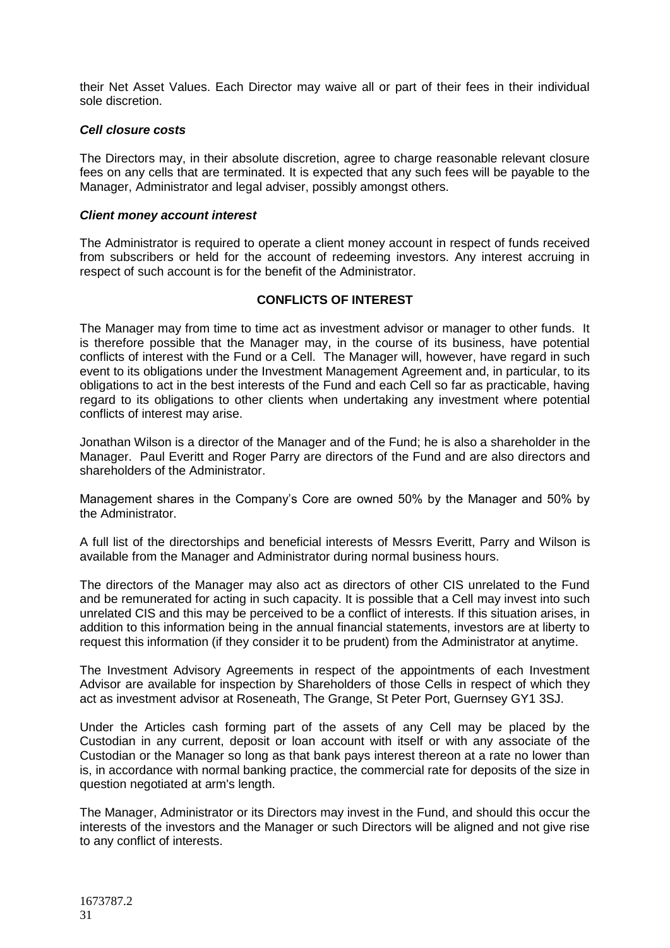their Net Asset Values. Each Director may waive all or part of their fees in their individual sole discretion.

### *Cell closure costs*

The Directors may, in their absolute discretion, agree to charge reasonable relevant closure fees on any cells that are terminated. It is expected that any such fees will be payable to the Manager, Administrator and legal adviser, possibly amongst others.

### *Client money account interest*

The Administrator is required to operate a client money account in respect of funds received from subscribers or held for the account of redeeming investors. Any interest accruing in respect of such account is for the benefit of the Administrator.

# **CONFLICTS OF INTEREST**

<span id="page-30-0"></span>The Manager may from time to time act as investment advisor or manager to other funds. It is therefore possible that the Manager may, in the course of its business, have potential conflicts of interest with the Fund or a Cell. The Manager will, however, have regard in such event to its obligations under the Investment Management Agreement and, in particular, to its obligations to act in the best interests of the Fund and each Cell so far as practicable, having regard to its obligations to other clients when undertaking any investment where potential conflicts of interest may arise.

Jonathan Wilson is a director of the Manager and of the Fund; he is also a shareholder in the Manager. Paul Everitt and Roger Parry are directors of the Fund and are also directors and shareholders of the Administrator.

Management shares in the Company's Core are owned 50% by the Manager and 50% by the Administrator.

A full list of the directorships and beneficial interests of Messrs Everitt, Parry and Wilson is available from the Manager and Administrator during normal business hours.

The directors of the Manager may also act as directors of other CIS unrelated to the Fund and be remunerated for acting in such capacity. It is possible that a Cell may invest into such unrelated CIS and this may be perceived to be a conflict of interests. If this situation arises, in addition to this information being in the annual financial statements, investors are at liberty to request this information (if they consider it to be prudent) from the Administrator at anytime.

The Investment Advisory Agreements in respect of the appointments of each Investment Advisor are available for inspection by Shareholders of those Cells in respect of which they act as investment advisor at Roseneath, The Grange, St Peter Port, Guernsey GY1 3SJ.

Under the Articles cash forming part of the assets of any Cell may be placed by the Custodian in any current, deposit or loan account with itself or with any associate of the Custodian or the Manager so long as that bank pays interest thereon at a rate no lower than is, in accordance with normal banking practice, the commercial rate for deposits of the size in question negotiated at arm's length.

The Manager, Administrator or its Directors may invest in the Fund, and should this occur the interests of the investors and the Manager or such Directors will be aligned and not give rise to any conflict of interests.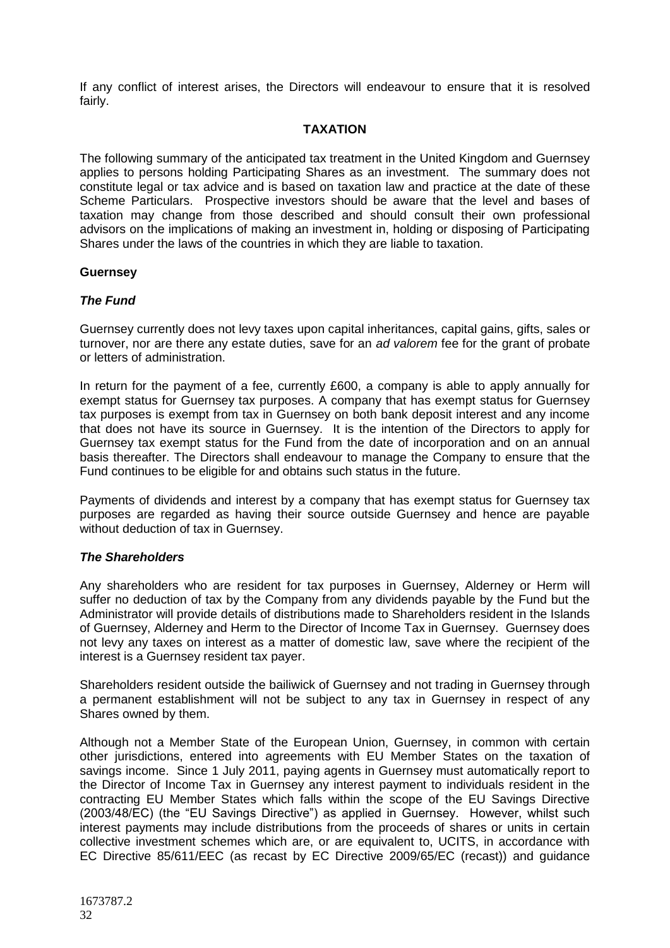If any conflict of interest arises, the Directors will endeavour to ensure that it is resolved fairly.

# **TAXATION**

<span id="page-31-0"></span>The following summary of the anticipated tax treatment in the United Kingdom and Guernsey applies to persons holding Participating Shares as an investment. The summary does not constitute legal or tax advice and is based on taxation law and practice at the date of these Scheme Particulars. Prospective investors should be aware that the level and bases of taxation may change from those described and should consult their own professional advisors on the implications of making an investment in, holding or disposing of Participating Shares under the laws of the countries in which they are liable to taxation.

# **Guernsey**

# *The Fund*

Guernsey currently does not levy taxes upon capital inheritances, capital gains, gifts, sales or turnover, nor are there any estate duties, save for an *ad valorem* fee for the grant of probate or letters of administration.

In return for the payment of a fee, currently £600, a company is able to apply annually for exempt status for Guernsey tax purposes. A company that has exempt status for Guernsey tax purposes is exempt from tax in Guernsey on both bank deposit interest and any income that does not have its source in Guernsey. It is the intention of the Directors to apply for Guernsey tax exempt status for the Fund from the date of incorporation and on an annual basis thereafter. The Directors shall endeavour to manage the Company to ensure that the Fund continues to be eligible for and obtains such status in the future.

Payments of dividends and interest by a company that has exempt status for Guernsey tax purposes are regarded as having their source outside Guernsey and hence are payable without deduction of tax in Guernsey.

# *The Shareholders*

Any shareholders who are resident for tax purposes in Guernsey, Alderney or Herm will suffer no deduction of tax by the Company from any dividends payable by the Fund but the Administrator will provide details of distributions made to Shareholders resident in the Islands of Guernsey, Alderney and Herm to the Director of Income Tax in Guernsey. Guernsey does not levy any taxes on interest as a matter of domestic law, save where the recipient of the interest is a Guernsey resident tax payer.

Shareholders resident outside the bailiwick of Guernsey and not trading in Guernsey through a permanent establishment will not be subject to any tax in Guernsey in respect of any Shares owned by them.

Although not a Member State of the European Union, Guernsey, in common with certain other jurisdictions, entered into agreements with EU Member States on the taxation of savings income. Since 1 July 2011, paying agents in Guernsey must automatically report to the Director of Income Tax in Guernsey any interest payment to individuals resident in the contracting EU Member States which falls within the scope of the EU Savings Directive (2003/48/EC) (the "EU Savings Directive") as applied in Guernsey. However, whilst such interest payments may include distributions from the proceeds of shares or units in certain collective investment schemes which are, or are equivalent to, UCITS, in accordance with EC Directive 85/611/EEC (as recast by EC Directive 2009/65/EC (recast)) and guidance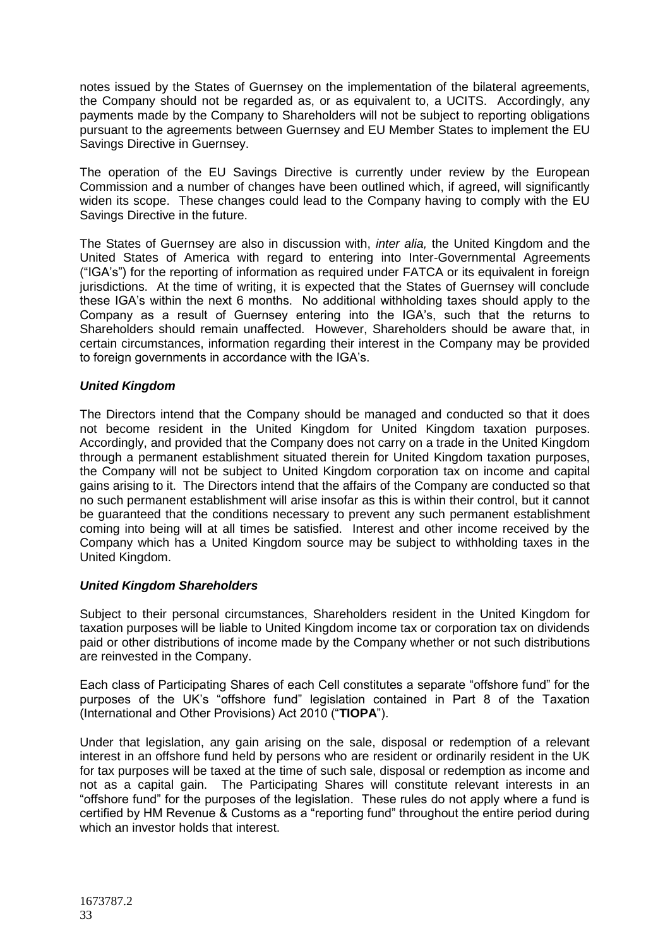notes issued by the States of Guernsey on the implementation of the bilateral agreements, the Company should not be regarded as, or as equivalent to, a UCITS. Accordingly, any payments made by the Company to Shareholders will not be subject to reporting obligations pursuant to the agreements between Guernsey and EU Member States to implement the EU Savings Directive in Guernsey.

The operation of the EU Savings Directive is currently under review by the European Commission and a number of changes have been outlined which, if agreed, will significantly widen its scope. These changes could lead to the Company having to comply with the EU Savings Directive in the future.

The States of Guernsey are also in discussion with, *inter alia,* the United Kingdom and the United States of America with regard to entering into Inter-Governmental Agreements ("IGA's") for the reporting of information as required under FATCA or its equivalent in foreign jurisdictions. At the time of writing, it is expected that the States of Guernsey will conclude these IGA's within the next 6 months. No additional withholding taxes should apply to the Company as a result of Guernsey entering into the IGA's, such that the returns to Shareholders should remain unaffected. However, Shareholders should be aware that, in certain circumstances, information regarding their interest in the Company may be provided to foreign governments in accordance with the IGA's.

# *United Kingdom*

The Directors intend that the Company should be managed and conducted so that it does not become resident in the United Kingdom for United Kingdom taxation purposes. Accordingly, and provided that the Company does not carry on a trade in the United Kingdom through a permanent establishment situated therein for United Kingdom taxation purposes, the Company will not be subject to United Kingdom corporation tax on income and capital gains arising to it. The Directors intend that the affairs of the Company are conducted so that no such permanent establishment will arise insofar as this is within their control, but it cannot be guaranteed that the conditions necessary to prevent any such permanent establishment coming into being will at all times be satisfied. Interest and other income received by the Company which has a United Kingdom source may be subject to withholding taxes in the United Kingdom.

# *United Kingdom Shareholders*

Subject to their personal circumstances, Shareholders resident in the United Kingdom for taxation purposes will be liable to United Kingdom income tax or corporation tax on dividends paid or other distributions of income made by the Company whether or not such distributions are reinvested in the Company.

Each class of Participating Shares of each Cell constitutes a separate "offshore fund" for the purposes of the UK's "offshore fund" legislation contained in Part 8 of the Taxation (International and Other Provisions) Act 2010 ("**TIOPA**").

Under that legislation, any gain arising on the sale, disposal or redemption of a relevant interest in an offshore fund held by persons who are resident or ordinarily resident in the UK for tax purposes will be taxed at the time of such sale, disposal or redemption as income and not as a capital gain. The Participating Shares will constitute relevant interests in an "offshore fund" for the purposes of the legislation. These rules do not apply where a fund is certified by HM Revenue & Customs as a "reporting fund" throughout the entire period during which an investor holds that interest.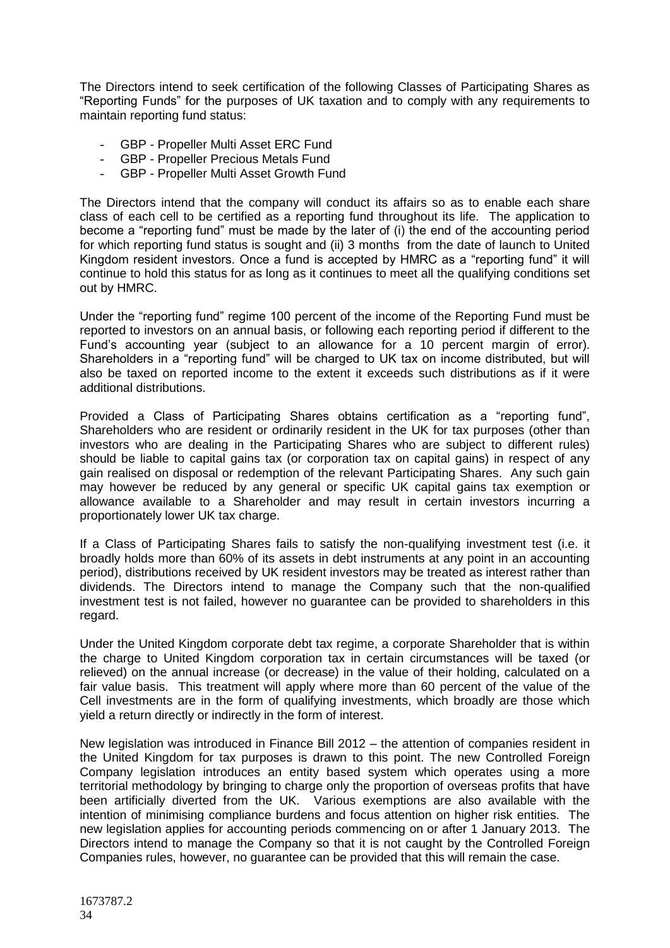The Directors intend to seek certification of the following Classes of Participating Shares as "Reporting Funds" for the purposes of UK taxation and to comply with any requirements to maintain reporting fund status:

- GBP Propeller Multi Asset ERC Fund
- GBP Propeller Precious Metals Fund
- GBP Propeller Multi Asset Growth Fund

The Directors intend that the company will conduct its affairs so as to enable each share class of each cell to be certified as a reporting fund throughout its life. The application to become a "reporting fund" must be made by the later of (i) the end of the accounting period for which reporting fund status is sought and (ii) 3 months from the date of launch to United Kingdom resident investors. Once a fund is accepted by HMRC as a "reporting fund" it will continue to hold this status for as long as it continues to meet all the qualifying conditions set out by HMRC.

Under the "reporting fund" regime 100 percent of the income of the Reporting Fund must be reported to investors on an annual basis, or following each reporting period if different to the Fund's accounting year (subject to an allowance for a 10 percent margin of error). Shareholders in a "reporting fund" will be charged to UK tax on income distributed, but will also be taxed on reported income to the extent it exceeds such distributions as if it were additional distributions.

Provided a Class of Participating Shares obtains certification as a "reporting fund", Shareholders who are resident or ordinarily resident in the UK for tax purposes (other than investors who are dealing in the Participating Shares who are subject to different rules) should be liable to capital gains tax (or corporation tax on capital gains) in respect of any gain realised on disposal or redemption of the relevant Participating Shares. Any such gain may however be reduced by any general or specific UK capital gains tax exemption or allowance available to a Shareholder and may result in certain investors incurring a proportionately lower UK tax charge.

If a Class of Participating Shares fails to satisfy the non-qualifying investment test (i.e. it broadly holds more than 60% of its assets in debt instruments at any point in an accounting period), distributions received by UK resident investors may be treated as interest rather than dividends. The Directors intend to manage the Company such that the non-qualified investment test is not failed, however no guarantee can be provided to shareholders in this regard.

Under the United Kingdom corporate debt tax regime, a corporate Shareholder that is within the charge to United Kingdom corporation tax in certain circumstances will be taxed (or relieved) on the annual increase (or decrease) in the value of their holding, calculated on a fair value basis. This treatment will apply where more than 60 percent of the value of the Cell investments are in the form of qualifying investments, which broadly are those which yield a return directly or indirectly in the form of interest.

New legislation was introduced in Finance Bill 2012 – the attention of companies resident in the United Kingdom for tax purposes is drawn to this point. The new Controlled Foreign Company legislation introduces an entity based system which operates using a more territorial methodology by bringing to charge only the proportion of overseas profits that have been artificially diverted from the UK. Various exemptions are also available with the intention of minimising compliance burdens and focus attention on higher risk entities. The new legislation applies for accounting periods commencing on or after 1 January 2013. The Directors intend to manage the Company so that it is not caught by the Controlled Foreign Companies rules, however, no guarantee can be provided that this will remain the case.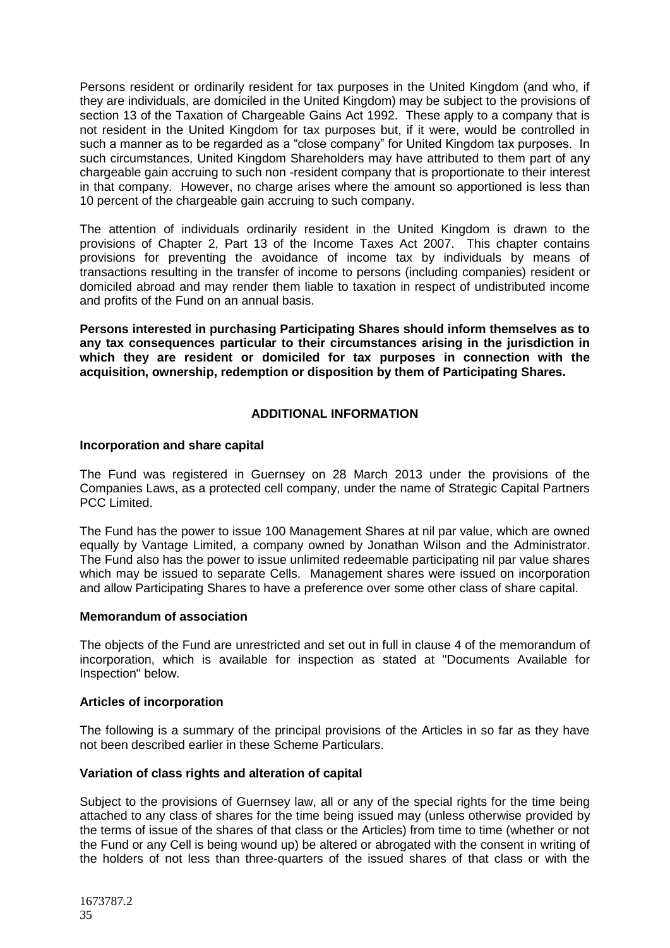Persons resident or ordinarily resident for tax purposes in the United Kingdom (and who, if they are individuals, are domiciled in the United Kingdom) may be subject to the provisions of section 13 of the Taxation of Chargeable Gains Act 1992. These apply to a company that is not resident in the United Kingdom for tax purposes but, if it were, would be controlled in such a manner as to be regarded as a "close company" for United Kingdom tax purposes. In such circumstances, United Kingdom Shareholders may have attributed to them part of any chargeable gain accruing to such non -resident company that is proportionate to their interest in that company. However, no charge arises where the amount so apportioned is less than 10 percent of the chargeable gain accruing to such company.

The attention of individuals ordinarily resident in the United Kingdom is drawn to the provisions of Chapter 2, Part 13 of the Income Taxes Act 2007. This chapter contains provisions for preventing the avoidance of income tax by individuals by means of transactions resulting in the transfer of income to persons (including companies) resident or domiciled abroad and may render them liable to taxation in respect of undistributed income and profits of the Fund on an annual basis.

**Persons interested in purchasing Participating Shares should inform themselves as to any tax consequences particular to their circumstances arising in the jurisdiction in which they are resident or domiciled for tax purposes in connection with the acquisition, ownership, redemption or disposition by them of Participating Shares.**

# **ADDITIONAL INFORMATION**

### <span id="page-34-0"></span>**Incorporation and share capital**

The Fund was registered in Guernsey on 28 March 2013 under the provisions of the Companies Laws, as a protected cell company, under the name of Strategic Capital Partners PCC Limited.

The Fund has the power to issue 100 Management Shares at nil par value, which are owned equally by Vantage Limited, a company owned by Jonathan Wilson and the Administrator. The Fund also has the power to issue unlimited redeemable participating nil par value shares which may be issued to separate Cells. Management shares were issued on incorporation and allow Participating Shares to have a preference over some other class of share capital.

#### **Memorandum of association**

The objects of the Fund are unrestricted and set out in full in clause 4 of the memorandum of incorporation, which is available for inspection as stated at "Documents Available for Inspection" below.

# **Articles of incorporation**

The following is a summary of the principal provisions of the Articles in so far as they have not been described earlier in these Scheme Particulars.

# **Variation of class rights and alteration of capital**

Subject to the provisions of Guernsey law, all or any of the special rights for the time being attached to any class of shares for the time being issued may (unless otherwise provided by the terms of issue of the shares of that class or the Articles) from time to time (whether or not the Fund or any Cell is being wound up) be altered or abrogated with the consent in writing of the holders of not less than three-quarters of the issued shares of that class or with the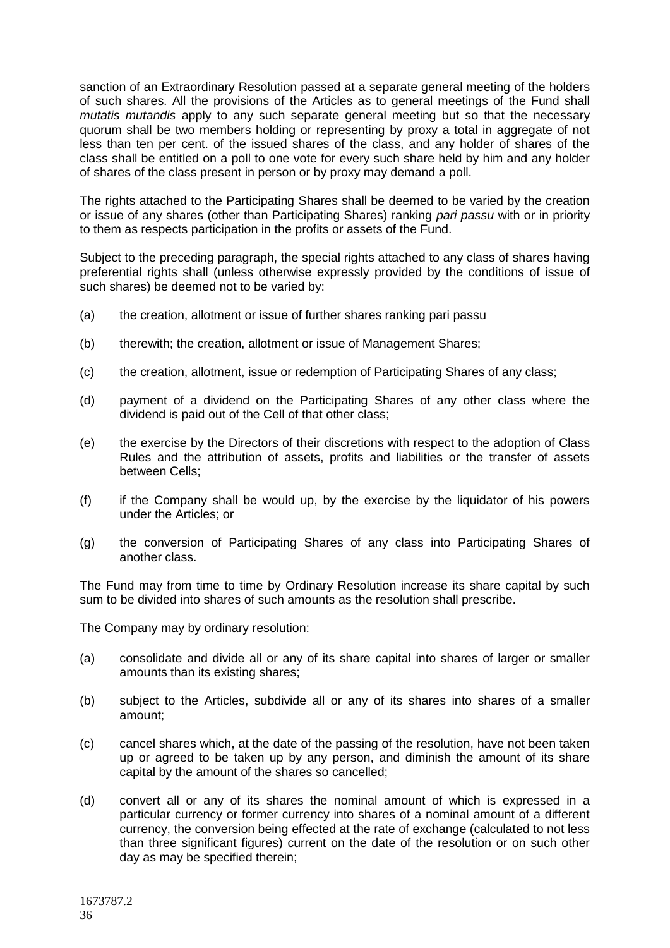sanction of an Extraordinary Resolution passed at a separate general meeting of the holders of such shares. All the provisions of the Articles as to general meetings of the Fund shall *mutatis mutandis* apply to any such separate general meeting but so that the necessary quorum shall be two members holding or representing by proxy a total in aggregate of not less than ten per cent. of the issued shares of the class, and any holder of shares of the class shall be entitled on a poll to one vote for every such share held by him and any holder of shares of the class present in person or by proxy may demand a poll.

The rights attached to the Participating Shares shall be deemed to be varied by the creation or issue of any shares (other than Participating Shares) ranking *pari passu* with or in priority to them as respects participation in the profits or assets of the Fund.

Subject to the preceding paragraph, the special rights attached to any class of shares having preferential rights shall (unless otherwise expressly provided by the conditions of issue of such shares) be deemed not to be varied by:

- (a) the creation, allotment or issue of further shares ranking pari passu
- (b) therewith; the creation, allotment or issue of Management Shares;
- (c) the creation, allotment, issue or redemption of Participating Shares of any class;
- (d) payment of a dividend on the Participating Shares of any other class where the dividend is paid out of the Cell of that other class;
- (e) the exercise by the Directors of their discretions with respect to the adoption of Class Rules and the attribution of assets, profits and liabilities or the transfer of assets between Cells;
- (f) if the Company shall be would up, by the exercise by the liquidator of his powers under the Articles; or
- (g) the conversion of Participating Shares of any class into Participating Shares of another class.

The Fund may from time to time by Ordinary Resolution increase its share capital by such sum to be divided into shares of such amounts as the resolution shall prescribe.

The Company may by ordinary resolution:

- (a) consolidate and divide all or any of its share capital into shares of larger or smaller amounts than its existing shares;
- (b) subject to the Articles, subdivide all or any of its shares into shares of a smaller amount;
- (c) cancel shares which, at the date of the passing of the resolution, have not been taken up or agreed to be taken up by any person, and diminish the amount of its share capital by the amount of the shares so cancelled;
- (d) convert all or any of its shares the nominal amount of which is expressed in a particular currency or former currency into shares of a nominal amount of a different currency, the conversion being effected at the rate of exchange (calculated to not less than three significant figures) current on the date of the resolution or on such other day as may be specified therein;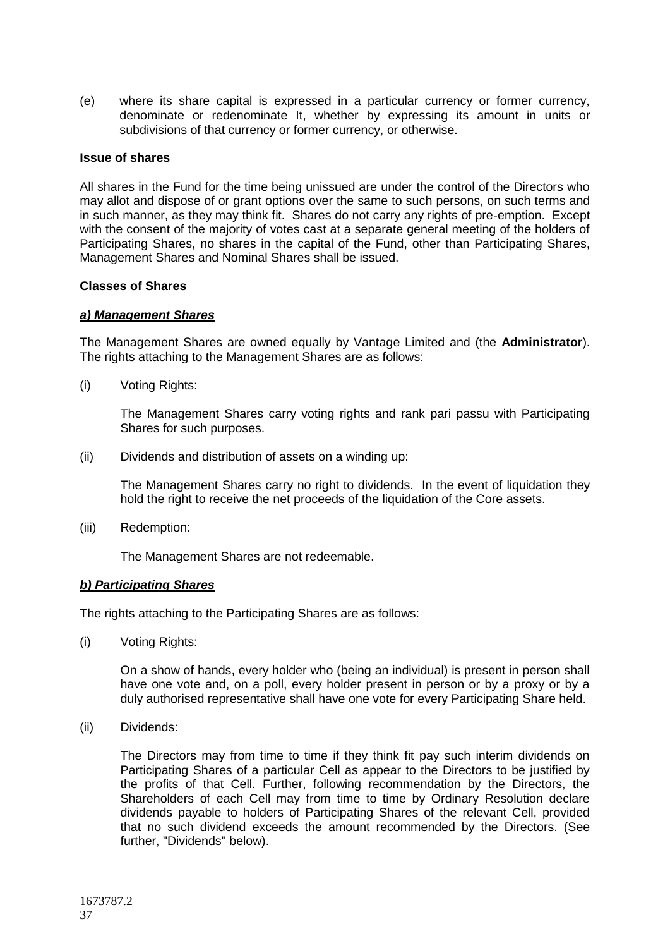(e) where its share capital is expressed in a particular currency or former currency, denominate or redenominate It, whether by expressing its amount in units or subdivisions of that currency or former currency, or otherwise.

#### **Issue of shares**

All shares in the Fund for the time being unissued are under the control of the Directors who may allot and dispose of or grant options over the same to such persons, on such terms and in such manner, as they may think fit. Shares do not carry any rights of pre-emption. Except with the consent of the majority of votes cast at a separate general meeting of the holders of Participating Shares, no shares in the capital of the Fund, other than Participating Shares, Management Shares and Nominal Shares shall be issued.

### **Classes of Shares**

### *a) Management Shares*

The Management Shares are owned equally by Vantage Limited and (the **Administrator**). The rights attaching to the Management Shares are as follows:

(i) Voting Rights:

The Management Shares carry voting rights and rank pari passu with Participating Shares for such purposes.

(ii) Dividends and distribution of assets on a winding up:

The Management Shares carry no right to dividends. In the event of liquidation they hold the right to receive the net proceeds of the liquidation of the Core assets.

(iii) Redemption:

The Management Shares are not redeemable.

# *b) Participating Shares*

The rights attaching to the Participating Shares are as follows:

(i) Voting Rights:

On a show of hands, every holder who (being an individual) is present in person shall have one vote and, on a poll, every holder present in person or by a proxy or by a duly authorised representative shall have one vote for every Participating Share held.

(ii) Dividends:

The Directors may from time to time if they think fit pay such interim dividends on Participating Shares of a particular Cell as appear to the Directors to be justified by the profits of that Cell. Further, following recommendation by the Directors, the Shareholders of each Cell may from time to time by Ordinary Resolution declare dividends payable to holders of Participating Shares of the relevant Cell, provided that no such dividend exceeds the amount recommended by the Directors. (See further, "Dividends" below).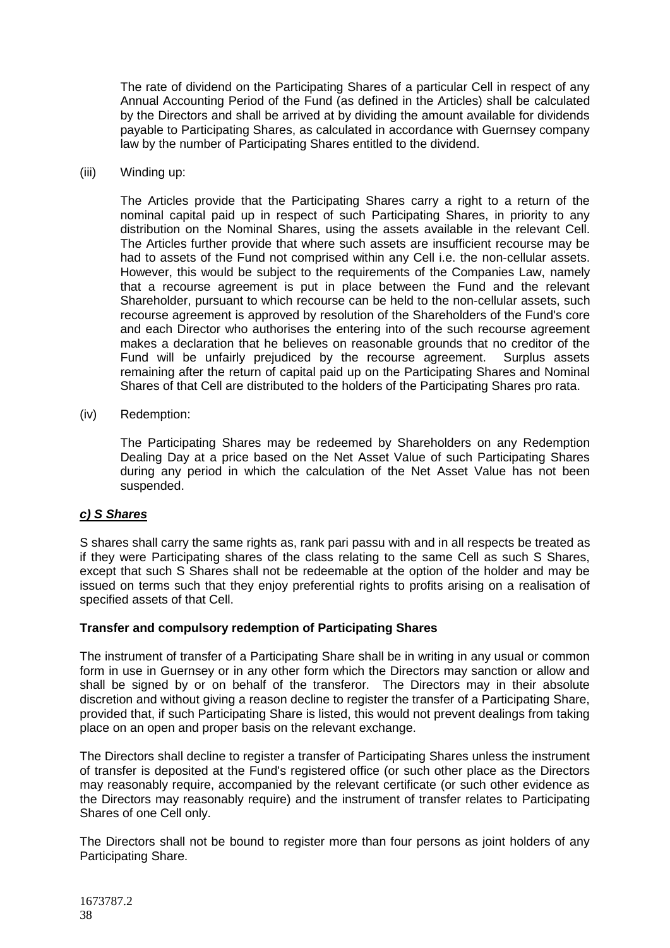The rate of dividend on the Participating Shares of a particular Cell in respect of any Annual Accounting Period of the Fund (as defined in the Articles) shall be calculated by the Directors and shall be arrived at by dividing the amount available for dividends payable to Participating Shares, as calculated in accordance with Guernsey company law by the number of Participating Shares entitled to the dividend.

### (iii) Winding up:

The Articles provide that the Participating Shares carry a right to a return of the nominal capital paid up in respect of such Participating Shares, in priority to any distribution on the Nominal Shares, using the assets available in the relevant Cell. The Articles further provide that where such assets are insufficient recourse may be had to assets of the Fund not comprised within any Cell i.e. the non-cellular assets. However, this would be subject to the requirements of the Companies Law, namely that a recourse agreement is put in place between the Fund and the relevant Shareholder, pursuant to which recourse can be held to the non-cellular assets, such recourse agreement is approved by resolution of the Shareholders of the Fund's core and each Director who authorises the entering into of the such recourse agreement makes a declaration that he believes on reasonable grounds that no creditor of the Fund will be unfairly prejudiced by the recourse agreement. Surplus assets remaining after the return of capital paid up on the Participating Shares and Nominal Shares of that Cell are distributed to the holders of the Participating Shares pro rata.

### (iv) Redemption:

The Participating Shares may be redeemed by Shareholders on any Redemption Dealing Day at a price based on the Net Asset Value of such Participating Shares during any period in which the calculation of the Net Asset Value has not been suspended.

# *c) S Shares*

S shares shall carry the same rights as, rank pari passu with and in all respects be treated as if they were Participating shares of the class relating to the same Cell as such S Shares, except that such S Shares shall not be redeemable at the option of the holder and may be issued on terms such that they enjoy preferential rights to profits arising on a realisation of specified assets of that Cell.

# **Transfer and compulsory redemption of Participating Shares**

The instrument of transfer of a Participating Share shall be in writing in any usual or common form in use in Guernsey or in any other form which the Directors may sanction or allow and shall be signed by or on behalf of the transferor. The Directors may in their absolute discretion and without giving a reason decline to register the transfer of a Participating Share, provided that, if such Participating Share is listed, this would not prevent dealings from taking place on an open and proper basis on the relevant exchange.

The Directors shall decline to register a transfer of Participating Shares unless the instrument of transfer is deposited at the Fund's registered office (or such other place as the Directors may reasonably require, accompanied by the relevant certificate (or such other evidence as the Directors may reasonably require) and the instrument of transfer relates to Participating Shares of one Cell only.

The Directors shall not be bound to register more than four persons as joint holders of any Participating Share.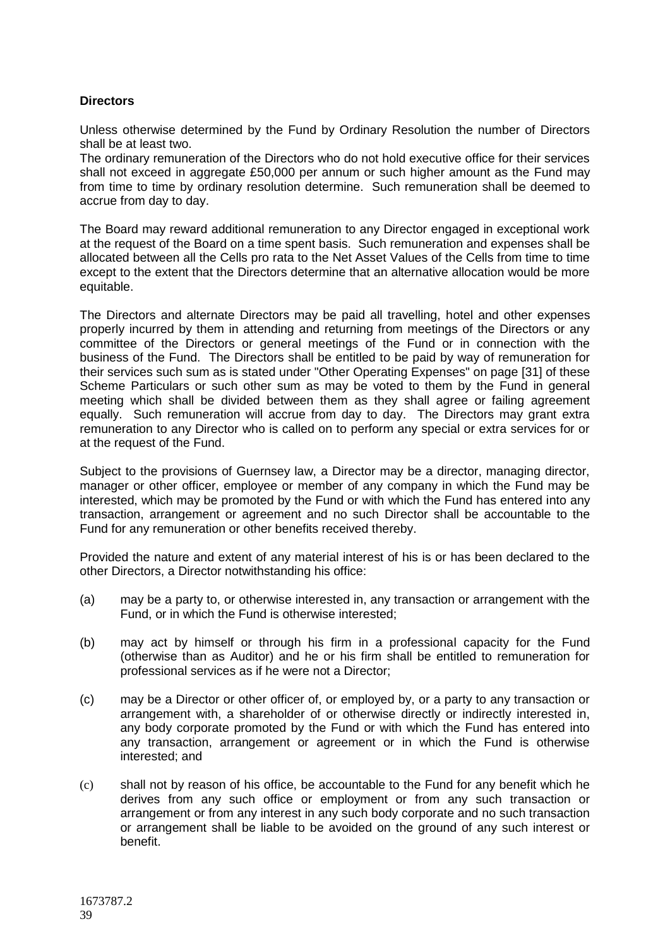# **Directors**

Unless otherwise determined by the Fund by Ordinary Resolution the number of Directors shall be at least two.

The ordinary remuneration of the Directors who do not hold executive office for their services shall not exceed in aggregate £50,000 per annum or such higher amount as the Fund may from time to time by ordinary resolution determine. Such remuneration shall be deemed to accrue from day to day.

The Board may reward additional remuneration to any Director engaged in exceptional work at the request of the Board on a time spent basis. Such remuneration and expenses shall be allocated between all the Cells pro rata to the Net Asset Values of the Cells from time to time except to the extent that the Directors determine that an alternative allocation would be more equitable.

The Directors and alternate Directors may be paid all travelling, hotel and other expenses properly incurred by them in attending and returning from meetings of the Directors or any committee of the Directors or general meetings of the Fund or in connection with the business of the Fund. The Directors shall be entitled to be paid by way of remuneration for their services such sum as is stated under "Other Operating Expenses" on page [31] of these Scheme Particulars or such other sum as may be voted to them by the Fund in general meeting which shall be divided between them as they shall agree or failing agreement equally. Such remuneration will accrue from day to day. The Directors may grant extra remuneration to any Director who is called on to perform any special or extra services for or at the request of the Fund.

Subject to the provisions of Guernsey law, a Director may be a director, managing director, manager or other officer, employee or member of any company in which the Fund may be interested, which may be promoted by the Fund or with which the Fund has entered into any transaction, arrangement or agreement and no such Director shall be accountable to the Fund for any remuneration or other benefits received thereby.

Provided the nature and extent of any material interest of his is or has been declared to the other Directors, a Director notwithstanding his office:

- (a) may be a party to, or otherwise interested in, any transaction or arrangement with the Fund, or in which the Fund is otherwise interested;
- (b) may act by himself or through his firm in a professional capacity for the Fund (otherwise than as Auditor) and he or his firm shall be entitled to remuneration for professional services as if he were not a Director;
- (c) may be a Director or other officer of, or employed by, or a party to any transaction or arrangement with, a shareholder of or otherwise directly or indirectly interested in, any body corporate promoted by the Fund or with which the Fund has entered into any transaction, arrangement or agreement or in which the Fund is otherwise interested; and
- (c) shall not by reason of his office, be accountable to the Fund for any benefit which he derives from any such office or employment or from any such transaction or arrangement or from any interest in any such body corporate and no such transaction or arrangement shall be liable to be avoided on the ground of any such interest or benefit.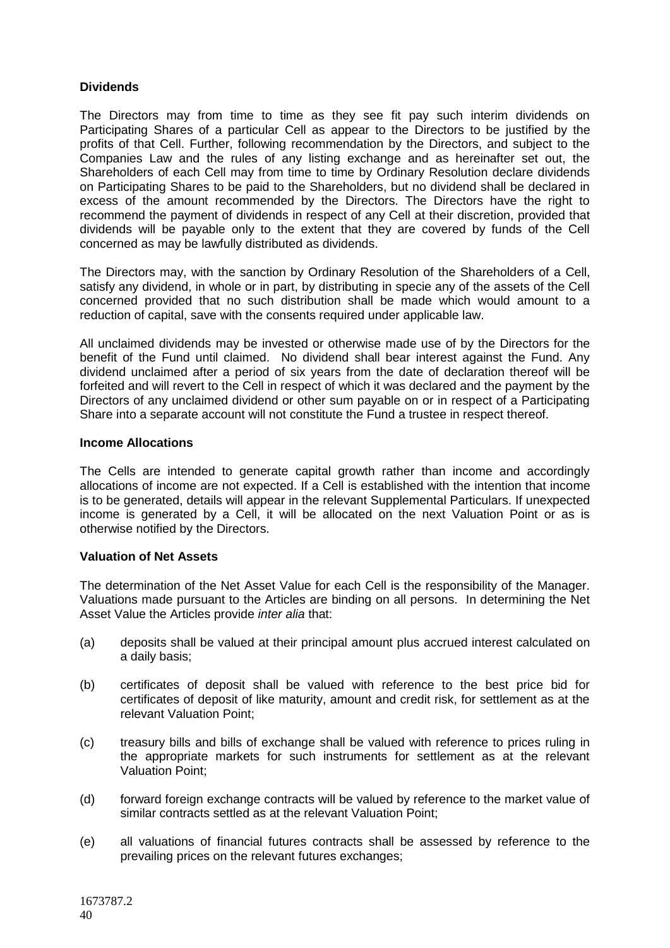# **Dividends**

The Directors may from time to time as they see fit pay such interim dividends on Participating Shares of a particular Cell as appear to the Directors to be justified by the profits of that Cell. Further, following recommendation by the Directors, and subject to the Companies Law and the rules of any listing exchange and as hereinafter set out, the Shareholders of each Cell may from time to time by Ordinary Resolution declare dividends on Participating Shares to be paid to the Shareholders, but no dividend shall be declared in excess of the amount recommended by the Directors. The Directors have the right to recommend the payment of dividends in respect of any Cell at their discretion, provided that dividends will be payable only to the extent that they are covered by funds of the Cell concerned as may be lawfully distributed as dividends.

The Directors may, with the sanction by Ordinary Resolution of the Shareholders of a Cell, satisfy any dividend, in whole or in part, by distributing in specie any of the assets of the Cell concerned provided that no such distribution shall be made which would amount to a reduction of capital, save with the consents required under applicable law.

All unclaimed dividends may be invested or otherwise made use of by the Directors for the benefit of the Fund until claimed. No dividend shall bear interest against the Fund. Any dividend unclaimed after a period of six years from the date of declaration thereof will be forfeited and will revert to the Cell in respect of which it was declared and the payment by the Directors of any unclaimed dividend or other sum payable on or in respect of a Participating Share into a separate account will not constitute the Fund a trustee in respect thereof.

### **Income Allocations**

The Cells are intended to generate capital growth rather than income and accordingly allocations of income are not expected. If a Cell is established with the intention that income is to be generated, details will appear in the relevant Supplemental Particulars. If unexpected income is generated by a Cell, it will be allocated on the next Valuation Point or as is otherwise notified by the Directors.

# **Valuation of Net Assets**

The determination of the Net Asset Value for each Cell is the responsibility of the Manager. Valuations made pursuant to the Articles are binding on all persons. In determining the Net Asset Value the Articles provide *inter alia* that:

- (a) deposits shall be valued at their principal amount plus accrued interest calculated on a daily basis;
- (b) certificates of deposit shall be valued with reference to the best price bid for certificates of deposit of like maturity, amount and credit risk, for settlement as at the relevant Valuation Point;
- (c) treasury bills and bills of exchange shall be valued with reference to prices ruling in the appropriate markets for such instruments for settlement as at the relevant Valuation Point;
- (d) forward foreign exchange contracts will be valued by reference to the market value of similar contracts settled as at the relevant Valuation Point;
- (e) all valuations of financial futures contracts shall be assessed by reference to the prevailing prices on the relevant futures exchanges;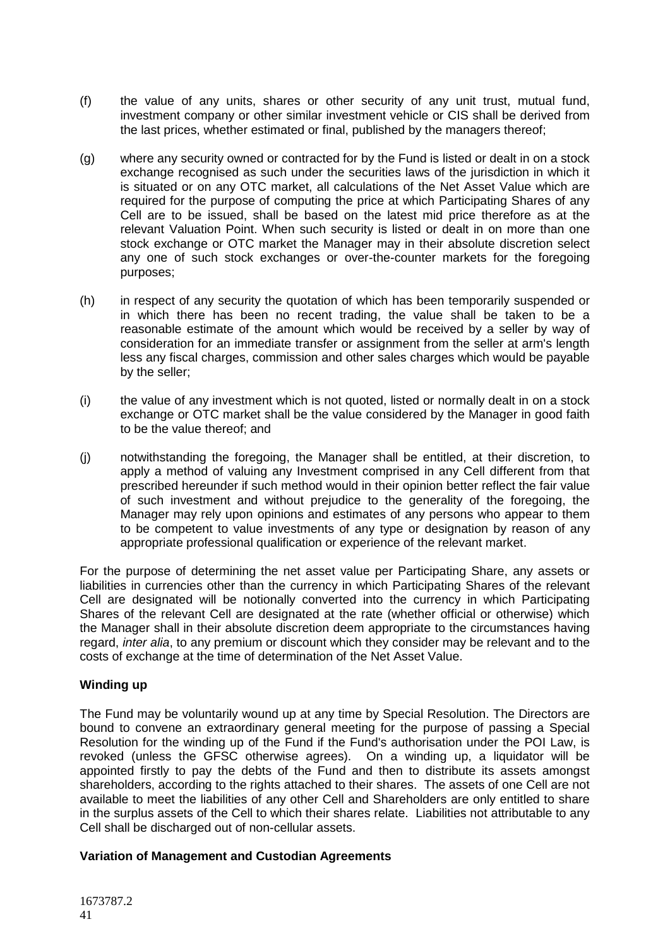- (f) the value of any units, shares or other security of any unit trust, mutual fund, investment company or other similar investment vehicle or CIS shall be derived from the last prices, whether estimated or final, published by the managers thereof;
- (g) where any security owned or contracted for by the Fund is listed or dealt in on a stock exchange recognised as such under the securities laws of the jurisdiction in which it is situated or on any OTC market, all calculations of the Net Asset Value which are required for the purpose of computing the price at which Participating Shares of any Cell are to be issued, shall be based on the latest mid price therefore as at the relevant Valuation Point. When such security is listed or dealt in on more than one stock exchange or OTC market the Manager may in their absolute discretion select any one of such stock exchanges or over-the-counter markets for the foregoing purposes;
- (h) in respect of any security the quotation of which has been temporarily suspended or in which there has been no recent trading, the value shall be taken to be a reasonable estimate of the amount which would be received by a seller by way of consideration for an immediate transfer or assignment from the seller at arm's length less any fiscal charges, commission and other sales charges which would be payable by the seller;
- (i) the value of any investment which is not quoted, listed or normally dealt in on a stock exchange or OTC market shall be the value considered by the Manager in good faith to be the value thereof; and
- (j) notwithstanding the foregoing, the Manager shall be entitled, at their discretion, to apply a method of valuing any Investment comprised in any Cell different from that prescribed hereunder if such method would in their opinion better reflect the fair value of such investment and without prejudice to the generality of the foregoing, the Manager may rely upon opinions and estimates of any persons who appear to them to be competent to value investments of any type or designation by reason of any appropriate professional qualification or experience of the relevant market.

For the purpose of determining the net asset value per Participating Share, any assets or liabilities in currencies other than the currency in which Participating Shares of the relevant Cell are designated will be notionally converted into the currency in which Participating Shares of the relevant Cell are designated at the rate (whether official or otherwise) which the Manager shall in their absolute discretion deem appropriate to the circumstances having regard, *inter alia*, to any premium or discount which they consider may be relevant and to the costs of exchange at the time of determination of the Net Asset Value.

# **Winding up**

The Fund may be voluntarily wound up at any time by Special Resolution. The Directors are bound to convene an extraordinary general meeting for the purpose of passing a Special Resolution for the winding up of the Fund if the Fund's authorisation under the POI Law, is revoked (unless the GFSC otherwise agrees). On a winding up, a liquidator will be appointed firstly to pay the debts of the Fund and then to distribute its assets amongst shareholders, according to the rights attached to their shares. The assets of one Cell are not available to meet the liabilities of any other Cell and Shareholders are only entitled to share in the surplus assets of the Cell to which their shares relate. Liabilities not attributable to any Cell shall be discharged out of non-cellular assets.

# **Variation of Management and Custodian Agreements**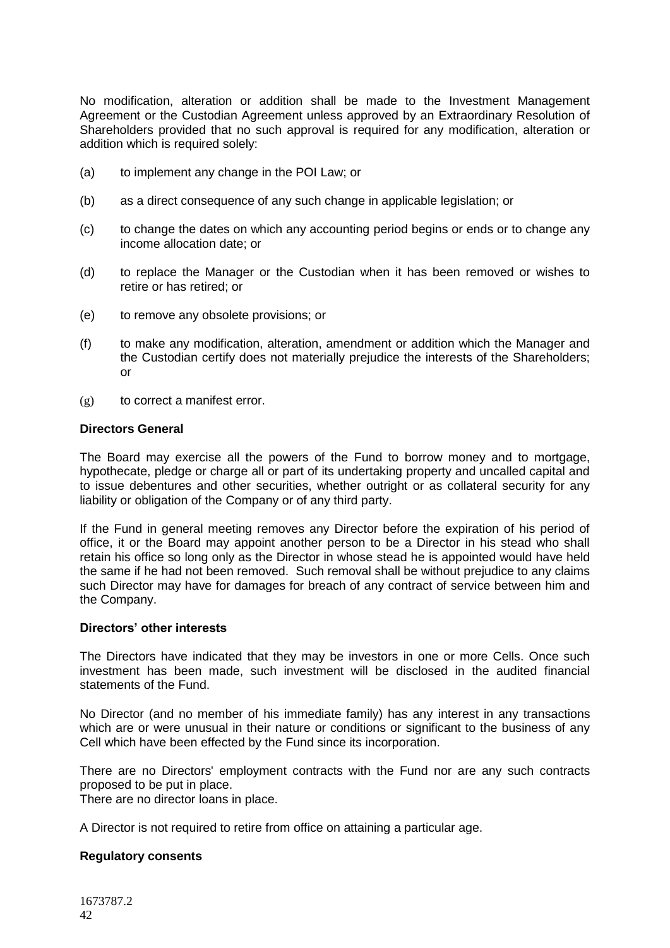No modification, alteration or addition shall be made to the Investment Management Agreement or the Custodian Agreement unless approved by an Extraordinary Resolution of Shareholders provided that no such approval is required for any modification, alteration or addition which is required solely:

- (a) to implement any change in the POI Law; or
- (b) as a direct consequence of any such change in applicable legislation; or
- (c) to change the dates on which any accounting period begins or ends or to change any income allocation date; or
- (d) to replace the Manager or the Custodian when it has been removed or wishes to retire or has retired; or
- (e) to remove any obsolete provisions; or
- (f) to make any modification, alteration, amendment or addition which the Manager and the Custodian certify does not materially prejudice the interests of the Shareholders; or
- (g) to correct a manifest error.

#### **Directors General**

The Board may exercise all the powers of the Fund to borrow money and to mortgage, hypothecate, pledge or charge all or part of its undertaking property and uncalled capital and to issue debentures and other securities, whether outright or as collateral security for any liability or obligation of the Company or of any third party.

If the Fund in general meeting removes any Director before the expiration of his period of office, it or the Board may appoint another person to be a Director in his stead who shall retain his office so long only as the Director in whose stead he is appointed would have held the same if he had not been removed. Such removal shall be without prejudice to any claims such Director may have for damages for breach of any contract of service between him and the Company.

#### **Directors' other interests**

The Directors have indicated that they may be investors in one or more Cells. Once such investment has been made, such investment will be disclosed in the audited financial statements of the Fund.

No Director (and no member of his immediate family) has any interest in any transactions which are or were unusual in their nature or conditions or significant to the business of any Cell which have been effected by the Fund since its incorporation.

There are no Directors' employment contracts with the Fund nor are any such contracts proposed to be put in place.

There are no director loans in place.

A Director is not required to retire from office on attaining a particular age.

#### **Regulatory consents**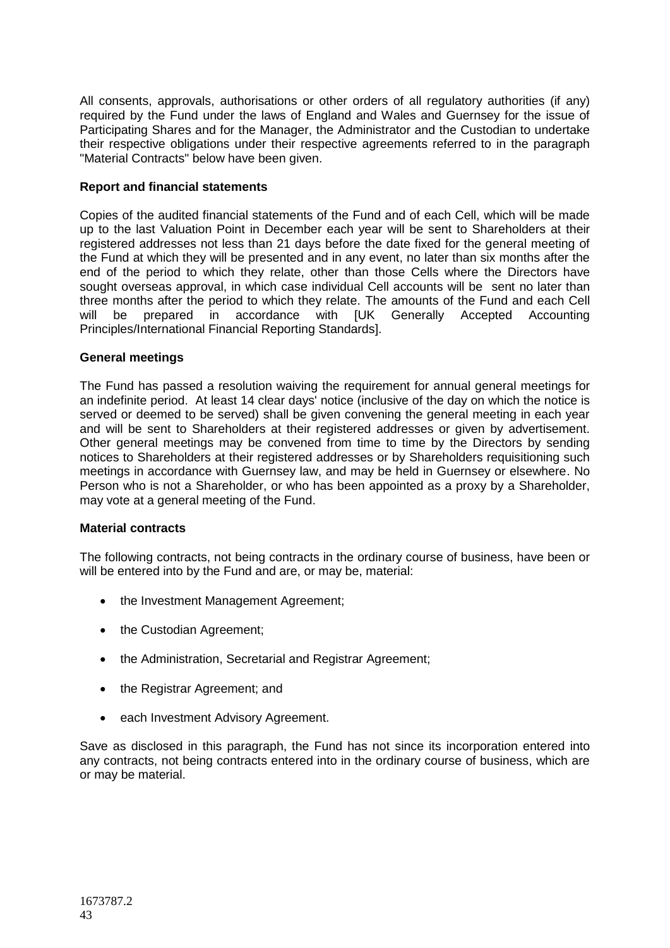All consents, approvals, authorisations or other orders of all regulatory authorities (if any) required by the Fund under the laws of England and Wales and Guernsey for the issue of Participating Shares and for the Manager, the Administrator and the Custodian to undertake their respective obligations under their respective agreements referred to in the paragraph "Material Contracts" below have been given.

# **Report and financial statements**

Copies of the audited financial statements of the Fund and of each Cell, which will be made up to the last Valuation Point in December each year will be sent to Shareholders at their registered addresses not less than 21 days before the date fixed for the general meeting of the Fund at which they will be presented and in any event, no later than six months after the end of the period to which they relate, other than those Cells where the Directors have sought overseas approval, in which case individual Cell accounts will be sent no later than three months after the period to which they relate. The amounts of the Fund and each Cell will be prepared in accordance with [UK Generally Accepted Accounting Principles/International Financial Reporting Standards].

# **General meetings**

The Fund has passed a resolution waiving the requirement for annual general meetings for an indefinite period. At least 14 clear days' notice (inclusive of the day on which the notice is served or deemed to be served) shall be given convening the general meeting in each year and will be sent to Shareholders at their registered addresses or given by advertisement. Other general meetings may be convened from time to time by the Directors by sending notices to Shareholders at their registered addresses or by Shareholders requisitioning such meetings in accordance with Guernsey law, and may be held in Guernsey or elsewhere. No Person who is not a Shareholder, or who has been appointed as a proxy by a Shareholder, may vote at a general meeting of the Fund.

# **Material contracts**

The following contracts, not being contracts in the ordinary course of business, have been or will be entered into by the Fund and are, or may be, material:

- the Investment Management Agreement;
- the Custodian Agreement;
- the Administration, Secretarial and Registrar Agreement;
- the Registrar Agreement; and
- each Investment Advisory Agreement.

Save as disclosed in this paragraph, the Fund has not since its incorporation entered into any contracts, not being contracts entered into in the ordinary course of business, which are or may be material.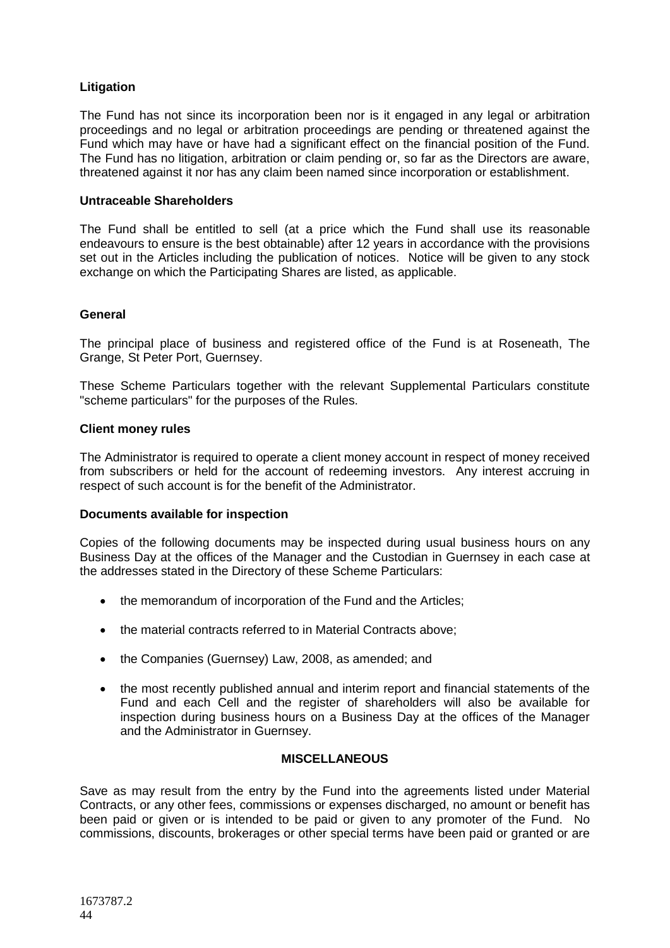# **Litigation**

The Fund has not since its incorporation been nor is it engaged in any legal or arbitration proceedings and no legal or arbitration proceedings are pending or threatened against the Fund which may have or have had a significant effect on the financial position of the Fund. The Fund has no litigation, arbitration or claim pending or, so far as the Directors are aware, threatened against it nor has any claim been named since incorporation or establishment.

### **Untraceable Shareholders**

The Fund shall be entitled to sell (at a price which the Fund shall use its reasonable endeavours to ensure is the best obtainable) after 12 years in accordance with the provisions set out in the Articles including the publication of notices. Notice will be given to any stock exchange on which the Participating Shares are listed, as applicable.

# **General**

The principal place of business and registered office of the Fund is at Roseneath, The Grange, St Peter Port, Guernsey.

These Scheme Particulars together with the relevant Supplemental Particulars constitute "scheme particulars" for the purposes of the Rules.

### **Client money rules**

The Administrator is required to operate a client money account in respect of money received from subscribers or held for the account of redeeming investors. Any interest accruing in respect of such account is for the benefit of the Administrator.

#### **Documents available for inspection**

Copies of the following documents may be inspected during usual business hours on any Business Day at the offices of the Manager and the Custodian in Guernsey in each case at the addresses stated in the Directory of these Scheme Particulars:

- the memorandum of incorporation of the Fund and the Articles;
- the material contracts referred to in Material Contracts above;
- the Companies (Guernsey) Law, 2008, as amended; and
- the most recently published annual and interim report and financial statements of the Fund and each Cell and the register of shareholders will also be available for inspection during business hours on a Business Day at the offices of the Manager and the Administrator in Guernsey.

### **MISCELLANEOUS**

<span id="page-43-0"></span>Save as may result from the entry by the Fund into the agreements listed under Material Contracts, or any other fees, commissions or expenses discharged, no amount or benefit has been paid or given or is intended to be paid or given to any promoter of the Fund. No commissions, discounts, brokerages or other special terms have been paid or granted or are